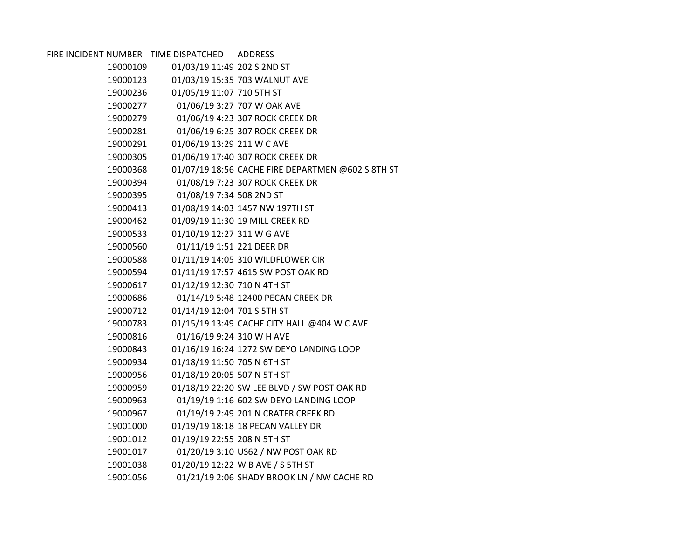| FIRE INCIDENT NUMBER TIME DISPATCHED |                             | <b>ADDRESS</b>                                    |
|--------------------------------------|-----------------------------|---------------------------------------------------|
| 19000109                             | 01/03/19 11:49 202 S 2ND ST |                                                   |
| 19000123                             |                             | 01/03/19 15:35 703 WALNUT AVE                     |
| 19000236                             | 01/05/19 11:07 710 5TH ST   |                                                   |
| 19000277                             |                             | 01/06/19 3:27 707 W OAK AVE                       |
| 19000279                             |                             | 01/06/19 4:23 307 ROCK CREEK DR                   |
| 19000281                             |                             | 01/06/19 6:25 307 ROCK CREEK DR                   |
| 19000291                             | 01/06/19 13:29 211 W C AVE  |                                                   |
| 19000305                             |                             | 01/06/19 17:40 307 ROCK CREEK DR                  |
| 19000368                             |                             | 01/07/19 18:56 CACHE FIRE DEPARTMEN @602 S 8TH ST |
| 19000394                             |                             | 01/08/19 7:23 307 ROCK CREEK DR                   |
| 19000395                             | 01/08/19 7:34 508 2ND ST    |                                                   |
| 19000413                             |                             | 01/08/19 14:03 1457 NW 197TH ST                   |
| 19000462                             |                             | 01/09/19 11:30 19 MILL CREEK RD                   |
| 19000533                             | 01/10/19 12:27 311 W G AVE  |                                                   |
| 19000560                             | 01/11/19 1:51 221 DEER DR   |                                                   |
| 19000588                             |                             | 01/11/19 14:05 310 WILDFLOWER CIR                 |
| 19000594                             |                             | 01/11/19 17:57 4615 SW POST OAK RD                |
| 19000617                             | 01/12/19 12:30 710 N 4TH ST |                                                   |
| 19000686                             |                             | 01/14/19 5:48 12400 PECAN CREEK DR                |
| 19000712                             | 01/14/19 12:04 701 S 5TH ST |                                                   |
| 19000783                             |                             | 01/15/19 13:49 CACHE CITY HALL @404 W C AVE       |
| 19000816                             | 01/16/19 9:24 310 W H AVE   |                                                   |
| 19000843                             |                             | 01/16/19 16:24 1272 SW DEYO LANDING LOOP          |
| 19000934                             | 01/18/19 11:50 705 N 6TH ST |                                                   |
| 19000956                             | 01/18/19 20:05 507 N 5TH ST |                                                   |
| 19000959                             |                             | 01/18/19 22:20 SW LEE BLVD / SW POST OAK RD       |
| 19000963                             |                             | 01/19/19 1:16 602 SW DEYO LANDING LOOP            |
| 19000967                             |                             | 01/19/19 2:49 201 N CRATER CREEK RD               |
| 19001000                             |                             | 01/19/19 18:18 18 PECAN VALLEY DR                 |
| 19001012                             | 01/19/19 22:55 208 N 5TH ST |                                                   |
| 19001017                             |                             | 01/20/19 3:10 US62 / NW POST OAK RD               |
| 19001038                             |                             | 01/20/19 12:22 W B AVE / S 5TH ST                 |
| 19001056                             |                             | 01/21/19 2:06 SHADY BROOK LN / NW CACHE RD        |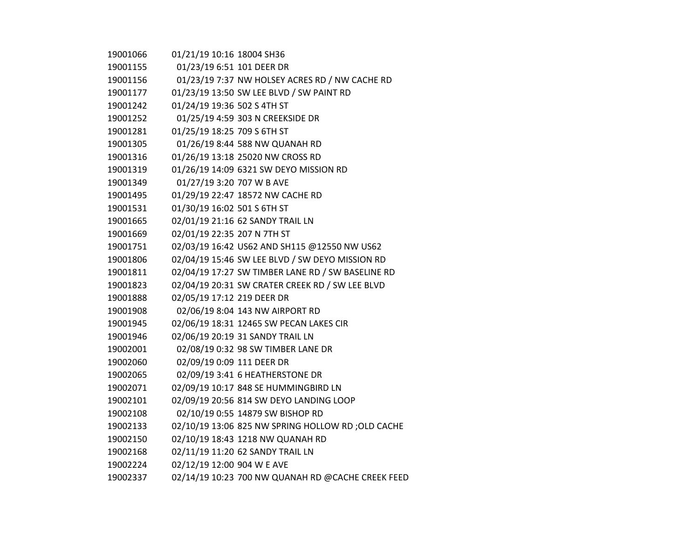| 19001066 | 01/21/19 10:16 18004 SH36   |                                                    |
|----------|-----------------------------|----------------------------------------------------|
| 19001155 | 01/23/19 6:51 101 DEER DR   |                                                    |
| 19001156 |                             | 01/23/19 7:37 NW HOLSEY ACRES RD / NW CACHE RD     |
| 19001177 |                             | 01/23/19 13:50 SW LEE BLVD / SW PAINT RD           |
| 19001242 | 01/24/19 19:36 502 S 4TH ST |                                                    |
| 19001252 |                             | 01/25/19 4:59 303 N CREEKSIDE DR                   |
| 19001281 | 01/25/19 18:25 709 S 6TH ST |                                                    |
| 19001305 |                             | 01/26/19 8:44 588 NW QUANAH RD                     |
| 19001316 |                             | 01/26/19 13:18 25020 NW CROSS RD                   |
| 19001319 |                             | 01/26/19 14:09 6321 SW DEYO MISSION RD             |
| 19001349 | 01/27/19 3:20 707 W B AVE   |                                                    |
| 19001495 |                             | 01/29/19 22:47 18572 NW CACHE RD                   |
| 19001531 | 01/30/19 16:02 501 S 6TH ST |                                                    |
| 19001665 |                             | 02/01/19 21:16 62 SANDY TRAIL LN                   |
| 19001669 | 02/01/19 22:35 207 N 7TH ST |                                                    |
| 19001751 |                             | 02/03/19 16:42 US62 AND SH115 @12550 NW US62       |
| 19001806 |                             | 02/04/19 15:46 SW LEE BLVD / SW DEYO MISSION RD    |
| 19001811 |                             | 02/04/19 17:27 SW TIMBER LANE RD / SW BASELINE RD  |
| 19001823 |                             | 02/04/19 20:31 SW CRATER CREEK RD / SW LEE BLVD    |
| 19001888 | 02/05/19 17:12 219 DEER DR  |                                                    |
| 19001908 |                             | 02/06/19 8:04 143 NW AIRPORT RD                    |
| 19001945 |                             | 02/06/19 18:31 12465 SW PECAN LAKES CIR            |
| 19001946 |                             | 02/06/19 20:19 31 SANDY TRAIL LN                   |
| 19002001 |                             | 02/08/19 0:32 98 SW TIMBER LANE DR                 |
| 19002060 | 02/09/19 0:09 111 DEER DR   |                                                    |
| 19002065 |                             | 02/09/19 3:41 6 HEATHERSTONE DR                    |
| 19002071 |                             | 02/09/19 10:17 848 SE HUMMINGBIRD LN               |
| 19002101 |                             | 02/09/19 20:56 814 SW DEYO LANDING LOOP            |
| 19002108 |                             | 02/10/19 0:55 14879 SW BISHOP RD                   |
| 19002133 |                             | 02/10/19 13:06 825 NW SPRING HOLLOW RD ; OLD CACHE |
| 19002150 |                             | 02/10/19 18:43 1218 NW QUANAH RD                   |
| 19002168 |                             | 02/11/19 11:20 62 SANDY TRAIL LN                   |
| 19002224 | 02/12/19 12:00 904 W E AVE  |                                                    |
| 19002337 |                             | 02/14/19 10:23 700 NW QUANAH RD @CACHE CREEK FEED  |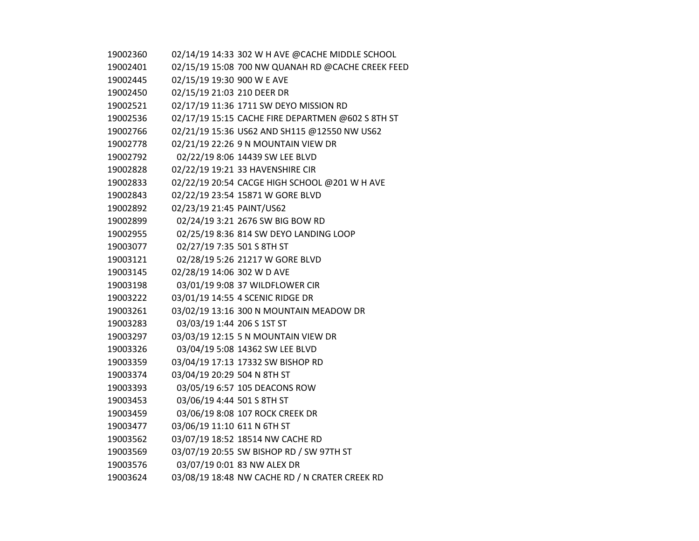| 19002360 |                             | 02/14/19 14:33 302 W H AVE @CACHE MIDDLE SCHOOL   |
|----------|-----------------------------|---------------------------------------------------|
| 19002401 |                             | 02/15/19 15:08 700 NW QUANAH RD @CACHE CREEK FEED |
| 19002445 | 02/15/19 19:30 900 W E AVE  |                                                   |
| 19002450 | 02/15/19 21:03 210 DEER DR  |                                                   |
| 19002521 |                             | 02/17/19 11:36 1711 SW DEYO MISSION RD            |
| 19002536 |                             | 02/17/19 15:15 CACHE FIRE DEPARTMEN @602 S 8TH ST |
| 19002766 |                             | 02/21/19 15:36 US62 AND SH115 @12550 NW US62      |
| 19002778 |                             | 02/21/19 22:26 9 N MOUNTAIN VIEW DR               |
| 19002792 |                             | 02/22/19 8:06 14439 SW LEE BLVD                   |
| 19002828 |                             | 02/22/19 19:21 33 HAVENSHIRE CIR                  |
| 19002833 |                             | 02/22/19 20:54 CACGE HIGH SCHOOL @201 W H AVE     |
| 19002843 |                             | 02/22/19 23:54 15871 W GORE BLVD                  |
| 19002892 | 02/23/19 21:45 PAINT/US62   |                                                   |
| 19002899 |                             | 02/24/19 3:21 2676 SW BIG BOW RD                  |
| 19002955 |                             | 02/25/19 8:36 814 SW DEYO LANDING LOOP            |
| 19003077 | 02/27/19 7:35 501 S 8TH ST  |                                                   |
| 19003121 |                             | 02/28/19 5:26 21217 W GORE BLVD                   |
| 19003145 | 02/28/19 14:06 302 W D AVE  |                                                   |
| 19003198 |                             | 03/01/19 9:08 37 WILDFLOWER CIR                   |
| 19003222 |                             | 03/01/19 14:55 4 SCENIC RIDGE DR                  |
| 19003261 |                             | 03/02/19 13:16 300 N MOUNTAIN MEADOW DR           |
| 19003283 | 03/03/19 1:44 206 S 1ST ST  |                                                   |
| 19003297 |                             | 03/03/19 12:15 5 N MOUNTAIN VIEW DR               |
| 19003326 |                             | 03/04/19 5:08 14362 SW LEE BLVD                   |
| 19003359 |                             | 03/04/19 17:13 17332 SW BISHOP RD                 |
| 19003374 | 03/04/19 20:29 504 N 8TH ST |                                                   |
| 19003393 |                             | 03/05/19 6:57 105 DEACONS ROW                     |
| 19003453 | 03/06/19 4:44 501 S 8TH ST  |                                                   |
| 19003459 |                             | 03/06/19 8:08 107 ROCK CREEK DR                   |
| 19003477 | 03/06/19 11:10 611 N 6TH ST |                                                   |
| 19003562 |                             | 03/07/19 18:52 18514 NW CACHE RD                  |
| 19003569 |                             | 03/07/19 20:55 SW BISHOP RD / SW 97TH ST          |
| 19003576 |                             | 03/07/19 0:01 83 NW ALEX DR                       |
| 19003624 |                             | 03/08/19 18:48 NW CACHE RD / N CRATER CREEK RD    |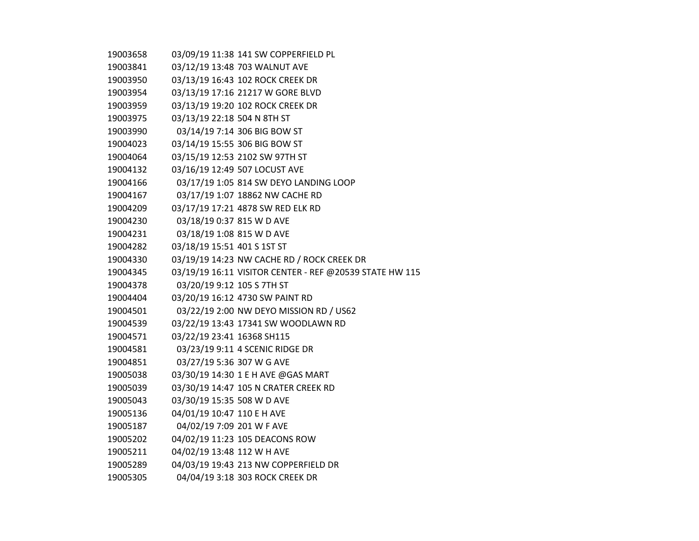| 19003658 |                             | 03/09/19 11:38 141 SW COPPERFIELD PL                    |
|----------|-----------------------------|---------------------------------------------------------|
| 19003841 |                             | 03/12/19 13:48 703 WALNUT AVE                           |
| 19003950 |                             | 03/13/19 16:43 102 ROCK CREEK DR                        |
| 19003954 |                             | 03/13/19 17:16 21217 W GORE BLVD                        |
| 19003959 |                             | 03/13/19 19:20 102 ROCK CREEK DR                        |
| 19003975 | 03/13/19 22:18 504 N 8TH ST |                                                         |
| 19003990 |                             | 03/14/19 7:14 306 BIG BOW ST                            |
| 19004023 |                             | 03/14/19 15:55 306 BIG BOW ST                           |
| 19004064 |                             | 03/15/19 12:53 2102 SW 97TH ST                          |
| 19004132 |                             | 03/16/19 12:49 507 LOCUST AVE                           |
| 19004166 |                             | 03/17/19 1:05 814 SW DEYO LANDING LOOP                  |
| 19004167 |                             | 03/17/19 1:07 18862 NW CACHE RD                         |
| 19004209 |                             | 03/17/19 17:21 4878 SW RED ELK RD                       |
| 19004230 | 03/18/19 0:37 815 W D AVE   |                                                         |
| 19004231 | 03/18/19 1:08 815 W D AVE   |                                                         |
| 19004282 | 03/18/19 15:51 401 S 1ST ST |                                                         |
| 19004330 |                             | 03/19/19 14:23 NW CACHE RD / ROCK CREEK DR              |
| 19004345 |                             | 03/19/19 16:11 VISITOR CENTER - REF @20539 STATE HW 115 |
| 19004378 | 03/20/19 9:12 105 S 7TH ST  |                                                         |
| 19004404 |                             | 03/20/19 16:12 4730 SW PAINT RD                         |
| 19004501 |                             | 03/22/19 2:00 NW DEYO MISSION RD / US62                 |
| 19004539 |                             | 03/22/19 13:43 17341 SW WOODLAWN RD                     |
| 19004571 | 03/22/19 23:41 16368 SH115  |                                                         |
| 19004581 |                             | 03/23/19 9:11 4 SCENIC RIDGE DR                         |
| 19004851 | 03/27/19 5:36 307 W G AVE   |                                                         |
| 19005038 |                             | 03/30/19 14:30 1 E H AVE @GAS MART                      |
| 19005039 |                             | 03/30/19 14:47 105 N CRATER CREEK RD                    |
| 19005043 | 03/30/19 15:35 508 W D AVE  |                                                         |
| 19005136 | 04/01/19 10:47 110 E H AVE  |                                                         |
| 19005187 | 04/02/19 7:09 201 W F AVE   |                                                         |
| 19005202 |                             | 04/02/19 11:23 105 DEACONS ROW                          |
| 19005211 | 04/02/19 13:48 112 W H AVE  |                                                         |
| 19005289 |                             | 04/03/19 19:43 213 NW COPPERFIELD DR                    |
| 19005305 |                             | 04/04/19 3:18 303 ROCK CREEK DR                         |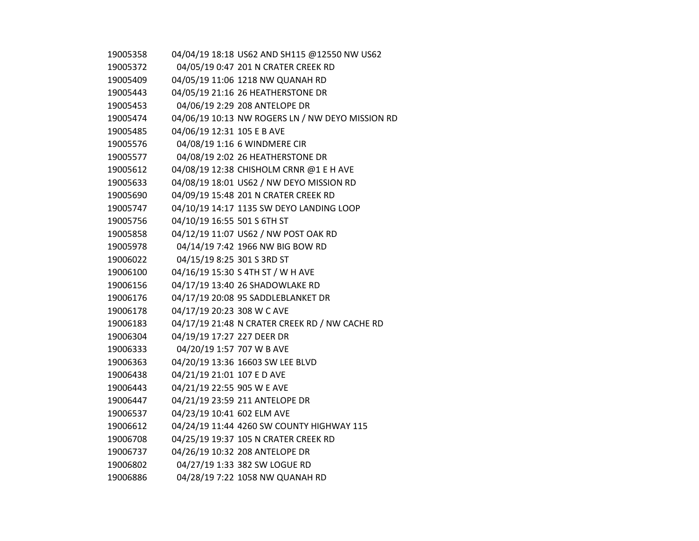| 19005358 | 04/04/19 18:18 US62 AND SH115 @12550 NW US62     |  |
|----------|--------------------------------------------------|--|
| 19005372 | 04/05/19 0:47 201 N CRATER CREEK RD              |  |
| 19005409 | 04/05/19 11:06 1218 NW QUANAH RD                 |  |
| 19005443 | 04/05/19 21:16 26 HEATHERSTONE DR                |  |
| 19005453 | 04/06/19 2:29 208 ANTELOPE DR                    |  |
| 19005474 | 04/06/19 10:13 NW ROGERS LN / NW DEYO MISSION RD |  |
| 19005485 | 04/06/19 12:31 105 E B AVE                       |  |
| 19005576 | 04/08/19 1:16 6 WINDMERE CIR                     |  |
| 19005577 | 04/08/19 2:02 26 HEATHERSTONE DR                 |  |
| 19005612 | 04/08/19 12:38 CHISHOLM CRNR @1 E H AVE          |  |
| 19005633 | 04/08/19 18:01 US62 / NW DEYO MISSION RD         |  |
| 19005690 | 04/09/19 15:48 201 N CRATER CREEK RD             |  |
| 19005747 | 04/10/19 14:17 1135 SW DEYO LANDING LOOP         |  |
| 19005756 | 04/10/19 16:55 501 S 6TH ST                      |  |
| 19005858 | 04/12/19 11:07 US62 / NW POST OAK RD             |  |
| 19005978 | 04/14/19 7:42 1966 NW BIG BOW RD                 |  |
| 19006022 | 04/15/19 8:25 301 S 3RD ST                       |  |
| 19006100 | 04/16/19 15:30 S 4TH ST / W H AVE                |  |
| 19006156 | 04/17/19 13:40 26 SHADOWLAKE RD                  |  |
| 19006176 | 04/17/19 20:08 95 SADDLEBLANKET DR               |  |
| 19006178 | 04/17/19 20:23 308 W C AVE                       |  |
| 19006183 | 04/17/19 21:48 N CRATER CREEK RD / NW CACHE RD   |  |
| 19006304 | 04/19/19 17:27 227 DEER DR                       |  |
| 19006333 | 04/20/19 1:57 707 W B AVE                        |  |
| 19006363 | 04/20/19 13:36 16603 SW LEE BLVD                 |  |
| 19006438 | 04/21/19 21:01 107 E D AVE                       |  |
| 19006443 | 04/21/19 22:55 905 W E AVE                       |  |
| 19006447 | 04/21/19 23:59 211 ANTELOPE DR                   |  |
| 19006537 | 04/23/19 10:41 602 ELM AVE                       |  |
| 19006612 | 04/24/19 11:44 4260 SW COUNTY HIGHWAY 115        |  |
| 19006708 | 04/25/19 19:37 105 N CRATER CREEK RD             |  |
| 19006737 | 04/26/19 10:32 208 ANTELOPE DR                   |  |
| 19006802 | 04/27/19 1:33 382 SW LOGUE RD                    |  |
| 19006886 | 04/28/19 7:22 1058 NW QUANAH RD                  |  |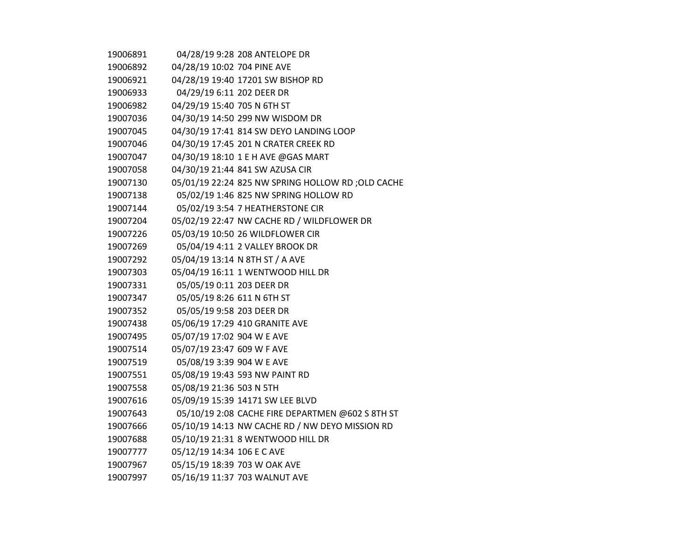| 19006891 |                             | 04/28/19 9:28 208 ANTELOPE DR                      |
|----------|-----------------------------|----------------------------------------------------|
| 19006892 | 04/28/19 10:02 704 PINE AVE |                                                    |
| 19006921 |                             | 04/28/19 19:40 17201 SW BISHOP RD                  |
| 19006933 | 04/29/19 6:11 202 DEER DR   |                                                    |
| 19006982 | 04/29/19 15:40 705 N 6TH ST |                                                    |
| 19007036 |                             | 04/30/19 14:50 299 NW WISDOM DR                    |
| 19007045 |                             | 04/30/19 17:41 814 SW DEYO LANDING LOOP            |
| 19007046 |                             | 04/30/19 17:45 201 N CRATER CREEK RD               |
| 19007047 |                             | 04/30/19 18:10 1 E H AVE @GAS MART                 |
| 19007058 |                             | 04/30/19 21:44 841 SW AZUSA CIR                    |
| 19007130 |                             | 05/01/19 22:24 825 NW SPRING HOLLOW RD ; OLD CACHE |
| 19007138 |                             | 05/02/19 1:46 825 NW SPRING HOLLOW RD              |
| 19007144 |                             | 05/02/19 3:54 7 HEATHERSTONE CIR                   |
| 19007204 |                             | 05/02/19 22:47 NW CACHE RD / WILDFLOWER DR         |
| 19007226 |                             | 05/03/19 10:50 26 WILDFLOWER CIR                   |
| 19007269 |                             | 05/04/19 4:11 2 VALLEY BROOK DR                    |
| 19007292 |                             | 05/04/19 13:14 N 8TH ST / A AVE                    |
| 19007303 |                             | 05/04/19 16:11 1 WENTWOOD HILL DR                  |
| 19007331 | 05/05/19 0:11 203 DEER DR   |                                                    |
| 19007347 | 05/05/19 8:26 611 N 6TH ST  |                                                    |
| 19007352 | 05/05/19 9:58 203 DEER DR   |                                                    |
| 19007438 |                             | 05/06/19 17:29 410 GRANITE AVE                     |
| 19007495 | 05/07/19 17:02 904 W E AVE  |                                                    |
| 19007514 | 05/07/19 23:47 609 W F AVE  |                                                    |
| 19007519 | 05/08/19 3:39 904 W E AVE   |                                                    |
| 19007551 |                             | 05/08/19 19:43 593 NW PAINT RD                     |
| 19007558 | 05/08/19 21:36 503 N 5TH    |                                                    |
| 19007616 |                             | 05/09/19 15:39 14171 SW LEE BLVD                   |
| 19007643 |                             | 05/10/19 2:08 CACHE FIRE DEPARTMEN @602 S 8TH ST   |
| 19007666 |                             | 05/10/19 14:13 NW CACHE RD / NW DEYO MISSION RD    |
| 19007688 |                             | 05/10/19 21:31 8 WENTWOOD HILL DR                  |
| 19007777 | 05/12/19 14:34 106 E C AVE  |                                                    |
| 19007967 |                             | 05/15/19 18:39 703 W OAK AVE                       |
| 19007997 |                             | 05/16/19 11:37 703 WALNUT AVE                      |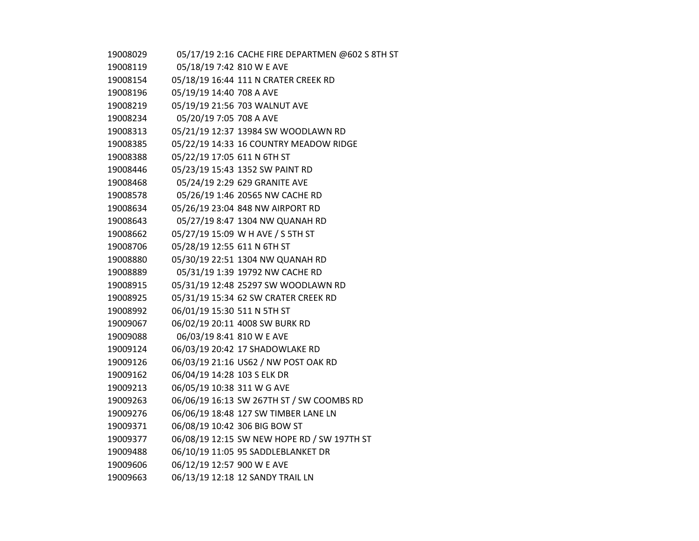| 19008029 | 05/17/19 2:16 CACHE FIRE DEPARTMEN @602 S 8TH ST |
|----------|--------------------------------------------------|
| 19008119 | 05/18/19 7:42 810 W E AVE                        |
| 19008154 | 05/18/19 16:44 111 N CRATER CREEK RD             |
| 19008196 | 05/19/19 14:40 708 A AVE                         |
| 19008219 | 05/19/19 21:56 703 WALNUT AVE                    |
| 19008234 | 05/20/19 7:05 708 A AVE                          |
| 19008313 | 05/21/19 12:37 13984 SW WOODLAWN RD              |
| 19008385 | 05/22/19 14:33 16 COUNTRY MEADOW RIDGE           |
| 19008388 | 05/22/19 17:05 611 N 6TH ST                      |
| 19008446 | 05/23/19 15:43 1352 SW PAINT RD                  |
| 19008468 | 05/24/19 2:29 629 GRANITE AVE                    |
| 19008578 | 05/26/19 1:46 20565 NW CACHE RD                  |
| 19008634 | 05/26/19 23:04 848 NW AIRPORT RD                 |
| 19008643 | 05/27/19 8:47 1304 NW QUANAH RD                  |
| 19008662 | 05/27/19 15:09 W H AVE / S 5TH ST                |
| 19008706 | 05/28/19 12:55 611 N 6TH ST                      |
| 19008880 | 05/30/19 22:51 1304 NW QUANAH RD                 |
| 19008889 | 05/31/19 1:39 19792 NW CACHE RD                  |
| 19008915 | 05/31/19 12:48 25297 SW WOODLAWN RD              |
| 19008925 | 05/31/19 15:34 62 SW CRATER CREEK RD             |
| 19008992 | 06/01/19 15:30 511 N 5TH ST                      |
| 19009067 | 06/02/19 20:11 4008 SW BURK RD                   |
| 19009088 | 06/03/19 8:41 810 W E AVE                        |
| 19009124 | 06/03/19 20:42 17 SHADOWLAKE RD                  |
| 19009126 | 06/03/19 21:16 US62 / NW POST OAK RD             |
| 19009162 | 06/04/19 14:28 103 S ELK DR                      |
| 19009213 | 06/05/19 10:38 311 W G AVE                       |
| 19009263 | 06/06/19 16:13 SW 267TH ST / SW COOMBS RD        |
| 19009276 | 06/06/19 18:48 127 SW TIMBER LANE LN             |
| 19009371 | 06/08/19 10:42 306 BIG BOW ST                    |
| 19009377 | 06/08/19 12:15 SW NEW HOPE RD / SW 197TH ST      |
| 19009488 | 06/10/19 11:05 95 SADDLEBLANKET DR               |
| 19009606 | 06/12/19 12:57 900 W E AVE                       |
| 19009663 | 06/13/19 12:18 12 SANDY TRAIL LN                 |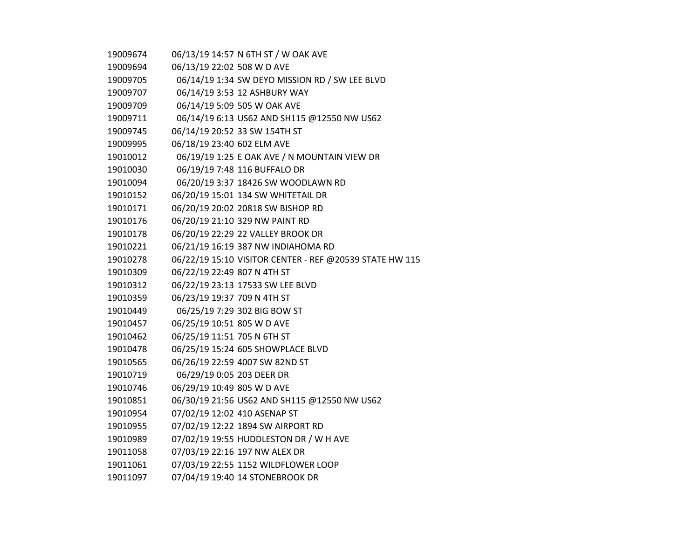| 19009674 |                              | 06/13/19 14:57 N 6TH ST / W OAK AVE                     |
|----------|------------------------------|---------------------------------------------------------|
| 19009694 | 06/13/19 22:02 508 W D AVE   |                                                         |
| 19009705 |                              | 06/14/19 1:34 SW DEYO MISSION RD / SW LEE BLVD          |
| 19009707 |                              | 06/14/19 3:53 12 ASHBURY WAY                            |
| 19009709 |                              | 06/14/19 5:09 505 W OAK AVE                             |
| 19009711 |                              | 06/14/19 6:13 US62 AND SH115 @12550 NW US62             |
| 19009745 |                              | 06/14/19 20:52 33 SW 154TH ST                           |
| 19009995 | 06/18/19 23:40 602 ELM AVE   |                                                         |
| 19010012 |                              | 06/19/19 1:25 E OAK AVE / N MOUNTAIN VIEW DR            |
| 19010030 |                              | 06/19/19 7:48 116 BUFFALO DR                            |
| 19010094 |                              | 06/20/19 3:37 18426 SW WOODLAWN RD                      |
| 19010152 |                              | 06/20/19 15:01 134 SW WHITETAIL DR                      |
| 19010171 |                              | 06/20/19 20:02 20818 SW BISHOP RD                       |
| 19010176 |                              | 06/20/19 21:10 329 NW PAINT RD                          |
| 19010178 |                              | 06/20/19 22:29 22 VALLEY BROOK DR                       |
| 19010221 |                              | 06/21/19 16:19 387 NW INDIAHOMA RD                      |
| 19010278 |                              | 06/22/19 15:10 VISITOR CENTER - REF @20539 STATE HW 115 |
| 19010309 | 06/22/19 22:49 807 N 4TH ST  |                                                         |
| 19010312 |                              | 06/22/19 23:13 17533 SW LEE BLVD                        |
| 19010359 | 06/23/19 19:37 709 N 4TH ST  |                                                         |
| 19010449 |                              | 06/25/19 7:29 302 BIG BOW ST                            |
| 19010457 | 06/25/19 10:51 805 W D AVE   |                                                         |
| 19010462 | 06/25/19 11:51 705 N 6TH ST  |                                                         |
| 19010478 |                              | 06/25/19 15:24 605 SHOWPLACE BLVD                       |
| 19010565 |                              | 06/26/19 22:59 4007 SW 82ND ST                          |
| 19010719 | 06/29/19 0:05 203 DEER DR    |                                                         |
| 19010746 | 06/29/19 10:49 805 W D AVE   |                                                         |
| 19010851 |                              | 06/30/19 21:56 US62 AND SH115 @12550 NW US62            |
| 19010954 | 07/02/19 12:02 410 ASENAP ST |                                                         |
| 19010955 |                              | 07/02/19 12:22 1894 SW AIRPORT RD                       |
| 19010989 |                              | 07/02/19 19:55 HUDDLESTON DR / W H AVE                  |
| 19011058 |                              | 07/03/19 22:16 197 NW ALEX DR                           |
| 19011061 |                              | 07/03/19 22:55 1152 WILDFLOWER LOOP                     |
| 19011097 |                              | 07/04/19 19:40 14 STONEBROOK DR                         |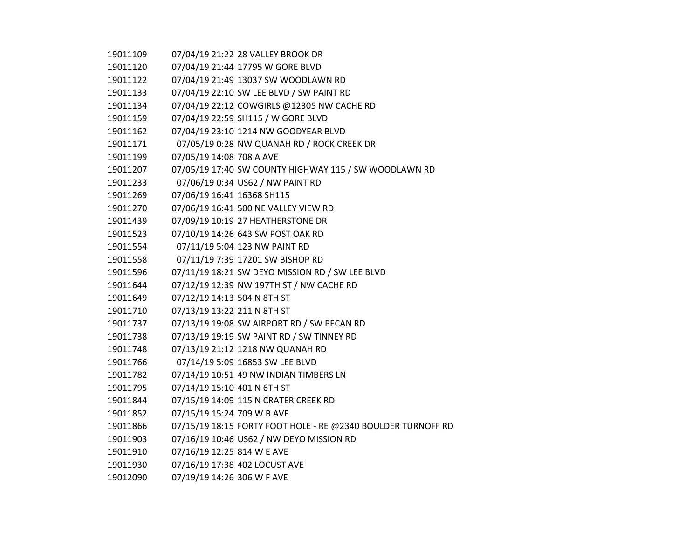07/04/19 21:22 28 VALLEY BROOK DR 07/04/19 21:44 17795 W GORE BLVD 07/04/19 21:49 13037 SW WOODLAWN RD 07/04/19 22:10 SW LEE BLVD / SW PAINT RD 07/04/19 22:12 COWGIRLS @12305 NW CACHE RD 07/04/19 22:59 SH115 / W GORE BLVD 07/04/19 23:10 1214 NW GOODYEAR BLVD 07/05/19 0:28 NW QUANAH RD / ROCK CREEK DR 07/05/19 14:08 708 A AVE 07/05/19 17:40 SW COUNTY HIGHWAY 115 / SW WOODLAWN RD 07/06/19 0:34 US62 / NW PAINT RD 07/06/19 16:41 16368 SH115 07/06/19 16:41 500 NE VALLEY VIEW RD 07/09/19 10:19 27 HEATHERSTONE DR 07/10/19 14:26 643 SW POST OAK RD 07/11/19 5:04 123 NW PAINT RD 07/11/19 7:39 17201 SW BISHOP RD 07/11/19 18:21 SW DEYO MISSION RD / SW LEE BLVD 07/12/19 12:39 NW 197TH ST / NW CACHE RD 07/12/19 14:13 504 N 8TH ST 07/13/19 13:22 211 N 8TH ST 07/13/19 19:08 SW AIRPORT RD / SW PECAN RD 07/13/19 19:19 SW PAINT RD / SW TINNEY RD 07/13/19 21:12 1218 NW QUANAH RD 07/14/19 5:09 16853 SW LEE BLVD 07/14/19 10:51 49 NW INDIAN TIMBERS LN 07/14/19 15:10 401 N 6TH ST 07/15/19 14:09 115 N CRATER CREEK RD 07/15/19 15:24 709 W B AVE 07/15/19 18:15 FORTY FOOT HOLE - RE @2340 BOULDER TURNOFF RD 07/16/19 10:46 US62 / NW DEYO MISSION RD 07/16/19 12:25 814 W E AVE 07/16/19 17:38 402 LOCUST AVE 07/19/19 14:26 306 W F AVE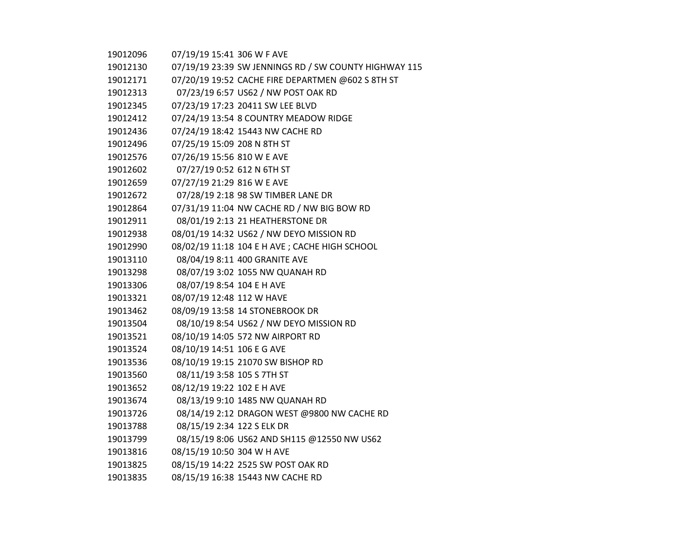| 19012096 | 07/19/19 15:41 306 W F AVE  |                                                       |
|----------|-----------------------------|-------------------------------------------------------|
| 19012130 |                             | 07/19/19 23:39 SW JENNINGS RD / SW COUNTY HIGHWAY 115 |
| 19012171 |                             | 07/20/19 19:52 CACHE FIRE DEPARTMEN @602 S 8TH ST     |
| 19012313 |                             | 07/23/19 6:57 US62 / NW POST OAK RD                   |
| 19012345 |                             | 07/23/19 17:23 20411 SW LEE BLVD                      |
| 19012412 |                             | 07/24/19 13:54 8 COUNTRY MEADOW RIDGE                 |
| 19012436 |                             | 07/24/19 18:42 15443 NW CACHE RD                      |
| 19012496 | 07/25/19 15:09 208 N 8TH ST |                                                       |
| 19012576 | 07/26/19 15:56 810 W E AVE  |                                                       |
| 19012602 | 07/27/19 0:52 612 N 6TH ST  |                                                       |
| 19012659 | 07/27/19 21:29 816 W E AVE  |                                                       |
| 19012672 |                             | 07/28/19 2:18 98 SW TIMBER LANE DR                    |
| 19012864 |                             | 07/31/19 11:04 NW CACHE RD / NW BIG BOW RD            |
| 19012911 |                             | 08/01/19 2:13 21 HEATHERSTONE DR                      |
| 19012938 |                             | 08/01/19 14:32 US62 / NW DEYO MISSION RD              |
| 19012990 |                             | 08/02/19 11:18 104 E H AVE ; CACHE HIGH SCHOOL        |
| 19013110 |                             | 08/04/19 8:11 400 GRANITE AVE                         |
| 19013298 |                             | 08/07/19 3:02 1055 NW QUANAH RD                       |
| 19013306 | 08/07/19 8:54 104 E H AVE   |                                                       |
| 19013321 | 08/07/19 12:48 112 W HAVE   |                                                       |
| 19013462 |                             | 08/09/19 13:58 14 STONEBROOK DR                       |
| 19013504 |                             | 08/10/19 8:54 US62 / NW DEYO MISSION RD               |
| 19013521 |                             | 08/10/19 14:05 572 NW AIRPORT RD                      |
| 19013524 | 08/10/19 14:51 106 E G AVE  |                                                       |
| 19013536 |                             | 08/10/19 19:15 21070 SW BISHOP RD                     |
| 19013560 | 08/11/19 3:58 105 S 7TH ST  |                                                       |
| 19013652 | 08/12/19 19:22 102 E H AVE  |                                                       |
| 19013674 |                             | 08/13/19 9:10 1485 NW QUANAH RD                       |
| 19013726 |                             | 08/14/19 2:12 DRAGON WEST @9800 NW CACHE RD           |
| 19013788 | 08/15/19 2:34 122 S ELK DR  |                                                       |
| 19013799 |                             | 08/15/19 8:06 US62 AND SH115 @12550 NW US62           |
| 19013816 | 08/15/19 10:50 304 W H AVE  |                                                       |
| 19013825 |                             | 08/15/19 14:22 2525 SW POST OAK RD                    |
| 19013835 |                             | 08/15/19 16:38 15443 NW CACHE RD                      |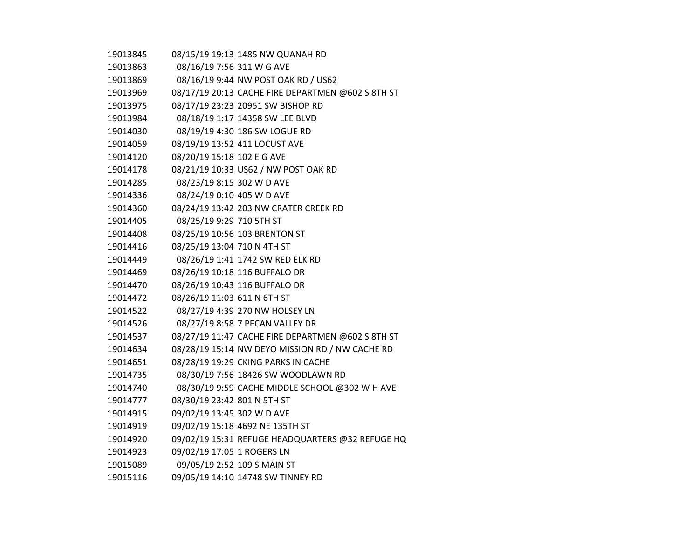| 19013845 |                             | 08/15/19 19:13 1485 NW QUANAH RD                  |
|----------|-----------------------------|---------------------------------------------------|
| 19013863 | 08/16/19 7:56 311 W G AVE   |                                                   |
| 19013869 |                             | 08/16/19 9:44 NW POST OAK RD / US62               |
| 19013969 |                             | 08/17/19 20:13 CACHE FIRE DEPARTMEN @602 S 8TH ST |
| 19013975 |                             | 08/17/19 23:23 20951 SW BISHOP RD                 |
| 19013984 |                             | 08/18/19 1:17 14358 SW LEE BLVD                   |
| 19014030 |                             | 08/19/19 4:30 186 SW LOGUE RD                     |
| 19014059 |                             | 08/19/19 13:52 411 LOCUST AVE                     |
| 19014120 | 08/20/19 15:18 102 E G AVE  |                                                   |
| 19014178 |                             | 08/21/19 10:33 US62 / NW POST OAK RD              |
| 19014285 | 08/23/19 8:15 302 W D AVE   |                                                   |
| 19014336 | 08/24/19 0:10 405 W D AVE   |                                                   |
| 19014360 |                             | 08/24/19 13:42 203 NW CRATER CREEK RD             |
| 19014405 | 08/25/19 9:29 710 5TH ST    |                                                   |
| 19014408 |                             | 08/25/19 10:56 103 BRENTON ST                     |
| 19014416 | 08/25/19 13:04 710 N 4TH ST |                                                   |
| 19014449 |                             | 08/26/19 1:41 1742 SW RED ELK RD                  |
| 19014469 |                             | 08/26/19 10:18 116 BUFFALO DR                     |
| 19014470 |                             | 08/26/19 10:43 116 BUFFALO DR                     |
| 19014472 | 08/26/19 11:03 611 N 6TH ST |                                                   |
| 19014522 |                             | 08/27/19 4:39 270 NW HOLSEY LN                    |
| 19014526 |                             | 08/27/19 8:58 7 PECAN VALLEY DR                   |
| 19014537 |                             | 08/27/19 11:47 CACHE FIRE DEPARTMEN @602 S 8TH ST |
| 19014634 |                             | 08/28/19 15:14 NW DEYO MISSION RD / NW CACHE RD   |
| 19014651 |                             | 08/28/19 19:29 CKING PARKS IN CACHE               |
| 19014735 |                             | 08/30/19 7:56 18426 SW WOODLAWN RD                |
| 19014740 |                             | 08/30/19 9:59 CACHE MIDDLE SCHOOL @302 W H AVE    |
| 19014777 | 08/30/19 23:42 801 N 5TH ST |                                                   |
| 19014915 | 09/02/19 13:45 302 W D AVE  |                                                   |
| 19014919 |                             | 09/02/19 15:18 4692 NE 135TH ST                   |
| 19014920 |                             | 09/02/19 15:31 REFUGE HEADQUARTERS @32 REFUGE HQ  |
| 19014923 | 09/02/19 17:05 1 ROGERS LN  |                                                   |
| 19015089 |                             | 09/05/19 2:52 109 S MAIN ST                       |
| 19015116 |                             | 09/05/19 14:10 14748 SW TINNEY RD                 |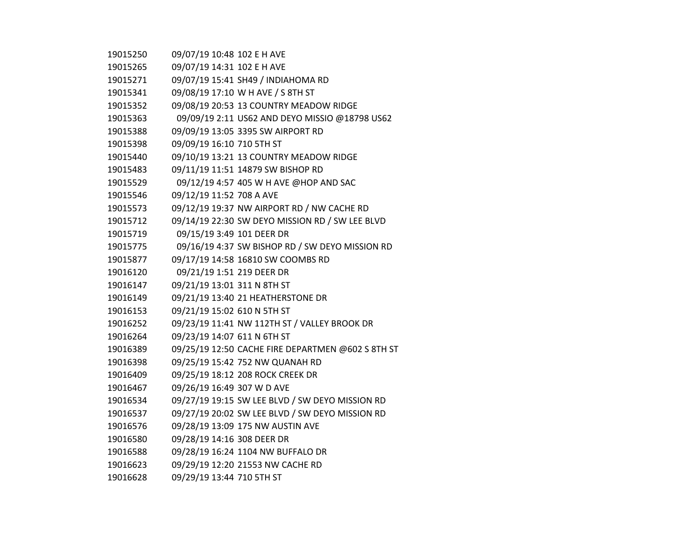| 19015250 | 09/07/19 10:48 102 E H AVE  |                                                   |
|----------|-----------------------------|---------------------------------------------------|
| 19015265 | 09/07/19 14:31 102 E H AVE  |                                                   |
| 19015271 |                             | 09/07/19 15:41 SH49 / INDIAHOMA RD                |
| 19015341 |                             | 09/08/19 17:10 W H AVE / S 8TH ST                 |
| 19015352 |                             | 09/08/19 20:53 13 COUNTRY MEADOW RIDGE            |
| 19015363 |                             | 09/09/19 2:11 US62 AND DEYO MISSIO @18798 US62    |
| 19015388 |                             | 09/09/19 13:05 3395 SW AIRPORT RD                 |
| 19015398 | 09/09/19 16:10 710 5TH ST   |                                                   |
| 19015440 |                             | 09/10/19 13:21 13 COUNTRY MEADOW RIDGE            |
| 19015483 |                             | 09/11/19 11:51 14879 SW BISHOP RD                 |
| 19015529 |                             | 09/12/19 4:57 405 W H AVE @HOP AND SAC            |
| 19015546 | 09/12/19 11:52 708 A AVE    |                                                   |
| 19015573 |                             | 09/12/19 19:37 NW AIRPORT RD / NW CACHE RD        |
| 19015712 |                             | 09/14/19 22:30 SW DEYO MISSION RD / SW LEE BLVD   |
| 19015719 | 09/15/19 3:49 101 DEER DR   |                                                   |
| 19015775 |                             | 09/16/19 4:37 SW BISHOP RD / SW DEYO MISSION RD   |
| 19015877 |                             | 09/17/19 14:58 16810 SW COOMBS RD                 |
| 19016120 | 09/21/19 1:51 219 DEER DR   |                                                   |
| 19016147 | 09/21/19 13:01 311 N 8TH ST |                                                   |
| 19016149 |                             | 09/21/19 13:40 21 HEATHERSTONE DR                 |
| 19016153 | 09/21/19 15:02 610 N 5TH ST |                                                   |
| 19016252 |                             | 09/23/19 11:41 NW 112TH ST / VALLEY BROOK DR      |
| 19016264 | 09/23/19 14:07 611 N 6TH ST |                                                   |
| 19016389 |                             | 09/25/19 12:50 CACHE FIRE DEPARTMEN @602 S 8TH ST |
| 19016398 |                             | 09/25/19 15:42 752 NW QUANAH RD                   |
| 19016409 |                             | 09/25/19 18:12 208 ROCK CREEK DR                  |
| 19016467 | 09/26/19 16:49 307 W D AVE  |                                                   |
| 19016534 |                             | 09/27/19 19:15 SW LEE BLVD / SW DEYO MISSION RD   |
| 19016537 |                             | 09/27/19 20:02 SW LEE BLVD / SW DEYO MISSION RD   |
| 19016576 |                             | 09/28/19 13:09 175 NW AUSTIN AVE                  |
| 19016580 | 09/28/19 14:16 308 DEER DR  |                                                   |
| 19016588 |                             | 09/28/19 16:24 1104 NW BUFFALO DR                 |
| 19016623 |                             | 09/29/19 12:20 21553 NW CACHE RD                  |
| 19016628 | 09/29/19 13:44 710 5TH ST   |                                                   |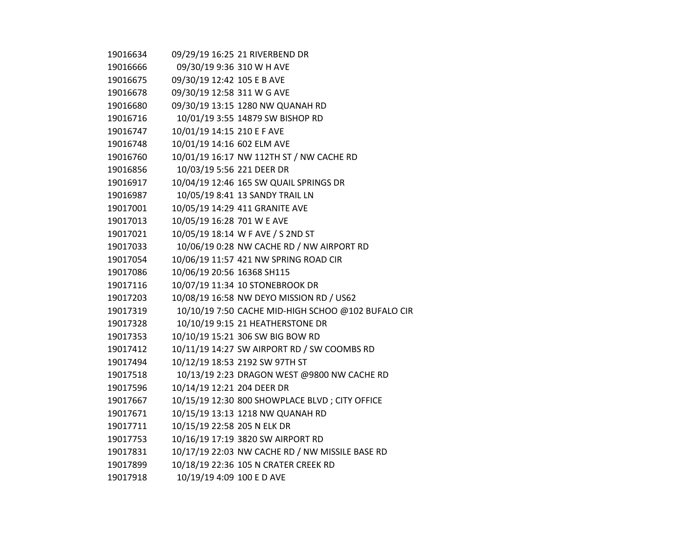| 19016634 |                             | 09/29/19 16:25 21 RIVERBEND DR                     |
|----------|-----------------------------|----------------------------------------------------|
| 19016666 | 09/30/19 9:36 310 W H AVE   |                                                    |
| 19016675 | 09/30/19 12:42 105 E B AVE  |                                                    |
| 19016678 | 09/30/19 12:58 311 W G AVE  |                                                    |
| 19016680 |                             | 09/30/19 13:15 1280 NW QUANAH RD                   |
| 19016716 |                             | 10/01/19 3:55 14879 SW BISHOP RD                   |
| 19016747 | 10/01/19 14:15 210 E F AVE  |                                                    |
| 19016748 | 10/01/19 14:16 602 ELM AVE  |                                                    |
| 19016760 |                             | 10/01/19 16:17 NW 112TH ST / NW CACHE RD           |
| 19016856 | 10/03/19 5:56 221 DEER DR   |                                                    |
| 19016917 |                             | 10/04/19 12:46 165 SW QUAIL SPRINGS DR             |
| 19016987 |                             | 10/05/19 8:41 13 SANDY TRAIL LN                    |
| 19017001 |                             | 10/05/19 14:29 411 GRANITE AVE                     |
| 19017013 | 10/05/19 16:28 701 W E AVE  |                                                    |
| 19017021 |                             | 10/05/19 18:14 W F AVE / S 2ND ST                  |
| 19017033 |                             | 10/06/19 0:28 NW CACHE RD / NW AIRPORT RD          |
| 19017054 |                             | 10/06/19 11:57 421 NW SPRING ROAD CIR              |
| 19017086 | 10/06/19 20:56 16368 SH115  |                                                    |
| 19017116 |                             | 10/07/19 11:34 10 STONEBROOK DR                    |
| 19017203 |                             | 10/08/19 16:58 NW DEYO MISSION RD / US62           |
| 19017319 |                             | 10/10/19 7:50 CACHE MID-HIGH SCHOO @102 BUFALO CIR |
| 19017328 |                             | 10/10/19 9:15 21 HEATHERSTONE DR                   |
| 19017353 |                             | 10/10/19 15:21 306 SW BIG BOW RD                   |
| 19017412 |                             | 10/11/19 14:27 SW AIRPORT RD / SW COOMBS RD        |
| 19017494 |                             | 10/12/19 18:53 2192 SW 97TH ST                     |
| 19017518 |                             | 10/13/19 2:23 DRAGON WEST @9800 NW CACHE RD        |
| 19017596 | 10/14/19 12:21 204 DEER DR  |                                                    |
| 19017667 |                             | 10/15/19 12:30 800 SHOWPLACE BLVD; CITY OFFICE     |
| 19017671 |                             | 10/15/19 13:13 1218 NW QUANAH RD                   |
| 19017711 | 10/15/19 22:58 205 N ELK DR |                                                    |
| 19017753 |                             | 10/16/19 17:19 3820 SW AIRPORT RD                  |
| 19017831 |                             | 10/17/19 22:03 NW CACHE RD / NW MISSILE BASE RD    |
| 19017899 |                             | 10/18/19 22:36 105 N CRATER CREEK RD               |
| 19017918 | 10/19/19 4:09 100 E D AVE   |                                                    |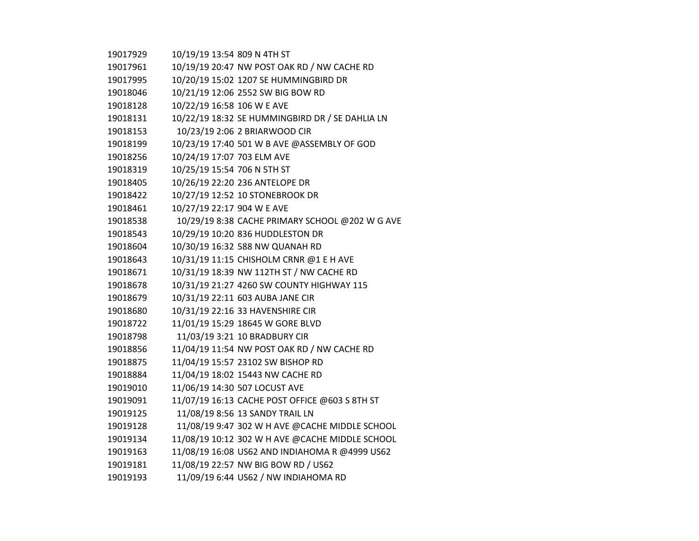| 19017929 | 10/19/19 13:54 809 N 4TH ST                     |
|----------|-------------------------------------------------|
| 19017961 | 10/19/19 20:47 NW POST OAK RD / NW CACHE RD     |
| 19017995 | 10/20/19 15:02 1207 SE HUMMINGBIRD DR           |
| 19018046 | 10/21/19 12:06 2552 SW BIG BOW RD               |
| 19018128 | 10/22/19 16:58 106 W E AVE                      |
| 19018131 | 10/22/19 18:32 SE HUMMINGBIRD DR / SE DAHLIA LN |
| 19018153 | 10/23/19 2:06 2 BRIARWOOD CIR                   |
| 19018199 | 10/23/19 17:40 501 W B AVE @ASSEMBLY OF GOD     |
| 19018256 | 10/24/19 17:07 703 ELM AVE                      |
| 19018319 | 10/25/19 15:54 706 N 5TH ST                     |
| 19018405 | 10/26/19 22:20 236 ANTELOPE DR                  |
| 19018422 | 10/27/19 12:52 10 STONEBROOK DR                 |
| 19018461 | 10/27/19 22:17 904 W E AVE                      |
| 19018538 | 10/29/19 8:38 CACHE PRIMARY SCHOOL @202 W G AVE |
| 19018543 | 10/29/19 10:20 836 HUDDLESTON DR                |
| 19018604 | 10/30/19 16:32 588 NW QUANAH RD                 |
| 19018643 | 10/31/19 11:15 CHISHOLM CRNR @1 E H AVE         |
| 19018671 | 10/31/19 18:39 NW 112TH ST / NW CACHE RD        |
| 19018678 | 10/31/19 21:27 4260 SW COUNTY HIGHWAY 115       |
| 19018679 | 10/31/19 22:11 603 AUBA JANE CIR                |
| 19018680 | 10/31/19 22:16 33 HAVENSHIRE CIR                |
| 19018722 | 11/01/19 15:29 18645 W GORE BLVD                |
| 19018798 | 11/03/19 3:21 10 BRADBURY CIR                   |
| 19018856 | 11/04/19 11:54 NW POST OAK RD / NW CACHE RD     |
| 19018875 | 11/04/19 15:57 23102 SW BISHOP RD               |
| 19018884 | 11/04/19 18:02 15443 NW CACHE RD                |
| 19019010 | 11/06/19 14:30 507 LOCUST AVE                   |
| 19019091 | 11/07/19 16:13 CACHE POST OFFICE @603 S 8TH ST  |
| 19019125 | 11/08/19 8:56 13 SANDY TRAIL LN                 |
| 19019128 | 11/08/19 9:47 302 W H AVE @CACHE MIDDLE SCHOOL  |
| 19019134 | 11/08/19 10:12 302 W H AVE @CACHE MIDDLE SCHOOL |
| 19019163 | 11/08/19 16:08 US62 AND INDIAHOMA R @4999 US62  |
| 19019181 | 11/08/19 22:57 NW BIG BOW RD / US62             |
| 19019193 | 11/09/19 6:44 US62 / NW INDIAHOMA RD            |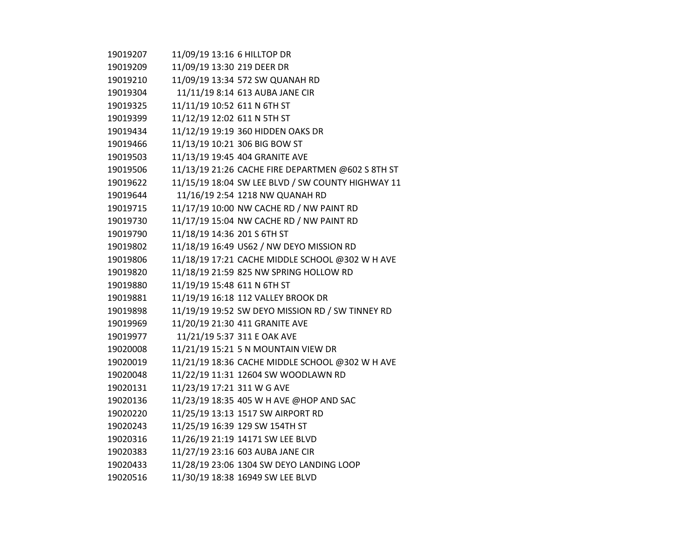| 19019207 | 11/09/19 13:16 6 HILLTOP DR                       |
|----------|---------------------------------------------------|
| 19019209 | 11/09/19 13:30 219 DEER DR                        |
| 19019210 | 11/09/19 13:34 572 SW QUANAH RD                   |
| 19019304 | 11/11/19 8:14 613 AUBA JANE CIR                   |
| 19019325 | 11/11/19 10:52 611 N 6TH ST                       |
| 19019399 | 11/12/19 12:02 611 N 5TH ST                       |
| 19019434 | 11/12/19 19:19 360 HIDDEN OAKS DR                 |
| 19019466 | 11/13/19 10:21 306 BIG BOW ST                     |
| 19019503 | 11/13/19 19:45 404 GRANITE AVE                    |
| 19019506 | 11/13/19 21:26 CACHE FIRE DEPARTMEN @602 S 8TH ST |
| 19019622 | 11/15/19 18:04 SW LEE BLVD / SW COUNTY HIGHWAY 11 |
| 19019644 | 11/16/19 2:54 1218 NW QUANAH RD                   |
| 19019715 | 11/17/19 10:00 NW CACHE RD / NW PAINT RD          |
| 19019730 | 11/17/19 15:04 NW CACHE RD / NW PAINT RD          |
| 19019790 | 11/18/19 14:36 201 S 6TH ST                       |
| 19019802 | 11/18/19 16:49 US62 / NW DEYO MISSION RD          |
| 19019806 | 11/18/19 17:21 CACHE MIDDLE SCHOOL @302 W H AVE   |
| 19019820 | 11/18/19 21:59 825 NW SPRING HOLLOW RD            |
| 19019880 | 11/19/19 15:48 611 N 6TH ST                       |
| 19019881 | 11/19/19 16:18 112 VALLEY BROOK DR                |
| 19019898 | 11/19/19 19:52 SW DEYO MISSION RD / SW TINNEY RD  |
| 19019969 | 11/20/19 21:30 411 GRANITE AVE                    |
| 19019977 | 11/21/19 5:37 311 E OAK AVE                       |
| 19020008 | 11/21/19 15:21 5 N MOUNTAIN VIEW DR               |
| 19020019 | 11/21/19 18:36 CACHE MIDDLE SCHOOL @302 W H AVE   |
| 19020048 | 11/22/19 11:31 12604 SW WOODLAWN RD               |
| 19020131 | 11/23/19 17:21 311 W G AVE                        |
| 19020136 | 11/23/19 18:35 405 W H AVE @HOP AND SAC           |
| 19020220 | 11/25/19 13:13 1517 SW AIRPORT RD                 |
| 19020243 | 11/25/19 16:39 129 SW 154TH ST                    |
| 19020316 | 11/26/19 21:19 14171 SW LEE BLVD                  |
| 19020383 | 11/27/19 23:16 603 AUBA JANE CIR                  |
| 19020433 | 11/28/19 23:06 1304 SW DEYO LANDING LOOP          |
| 19020516 | 11/30/19 18:38 16949 SW LEE BLVD                  |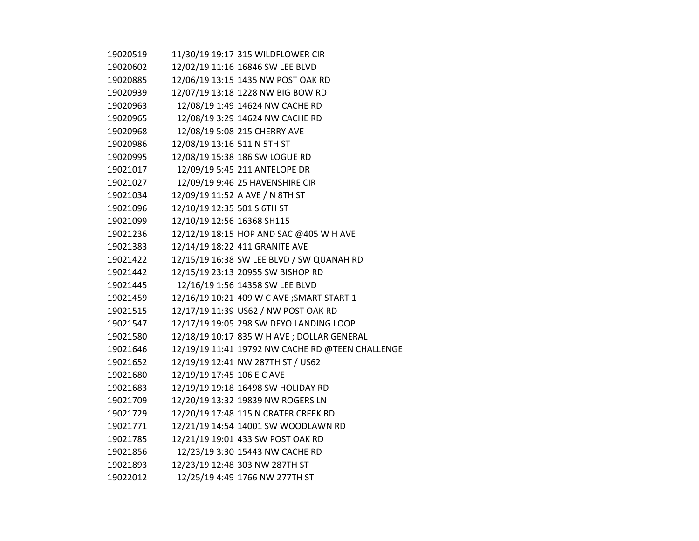| 19020519 |                             | 11/30/19 19:17 315 WILDFLOWER CIR                |
|----------|-----------------------------|--------------------------------------------------|
| 19020602 |                             | 12/02/19 11:16 16846 SW LEE BLVD                 |
| 19020885 |                             | 12/06/19 13:15 1435 NW POST OAK RD               |
| 19020939 |                             | 12/07/19 13:18 1228 NW BIG BOW RD                |
| 19020963 |                             | 12/08/19 1:49 14624 NW CACHE RD                  |
| 19020965 |                             | 12/08/19 3:29 14624 NW CACHE RD                  |
| 19020968 |                             | 12/08/19 5:08 215 CHERRY AVE                     |
| 19020986 | 12/08/19 13:16 511 N 5TH ST |                                                  |
| 19020995 |                             | 12/08/19 15:38 186 SW LOGUE RD                   |
| 19021017 |                             | 12/09/19 5:45 211 ANTELOPE DR                    |
| 19021027 |                             | 12/09/19 9:46 25 HAVENSHIRE CIR                  |
| 19021034 |                             | 12/09/19 11:52 A AVE / N 8TH ST                  |
| 19021096 | 12/10/19 12:35 501 S 6TH ST |                                                  |
| 19021099 | 12/10/19 12:56 16368 SH115  |                                                  |
| 19021236 |                             | 12/12/19 18:15 HOP AND SAC @405 W H AVE          |
| 19021383 |                             | 12/14/19 18:22 411 GRANITE AVE                   |
| 19021422 |                             | 12/15/19 16:38 SW LEE BLVD / SW QUANAH RD        |
| 19021442 |                             | 12/15/19 23:13 20955 SW BISHOP RD                |
| 19021445 |                             | 12/16/19 1:56 14358 SW LEE BLVD                  |
| 19021459 |                             | 12/16/19 10:21 409 W C AVE ; SMART START 1       |
| 19021515 |                             | 12/17/19 11:39 US62 / NW POST OAK RD             |
| 19021547 |                             | 12/17/19 19:05 298 SW DEYO LANDING LOOP          |
| 19021580 |                             | 12/18/19 10:17 835 W H AVE ; DOLLAR GENERAL      |
| 19021646 |                             | 12/19/19 11:41 19792 NW CACHE RD @TEEN CHALLENGE |
| 19021652 |                             | 12/19/19 12:41 NW 287TH ST / US62                |
| 19021680 | 12/19/19 17:45 106 E C AVE  |                                                  |
| 19021683 |                             | 12/19/19 19:18 16498 SW HOLIDAY RD               |
| 19021709 |                             | 12/20/19 13:32 19839 NW ROGERS LN                |
| 19021729 |                             | 12/20/19 17:48 115 N CRATER CREEK RD             |
| 19021771 |                             | 12/21/19 14:54 14001 SW WOODLAWN RD              |
| 19021785 |                             | 12/21/19 19:01 433 SW POST OAK RD                |
| 19021856 |                             | 12/23/19 3:30 15443 NW CACHE RD                  |
| 19021893 |                             | 12/23/19 12:48 303 NW 287TH ST                   |
| 19022012 |                             | 12/25/19 4:49 1766 NW 277TH ST                   |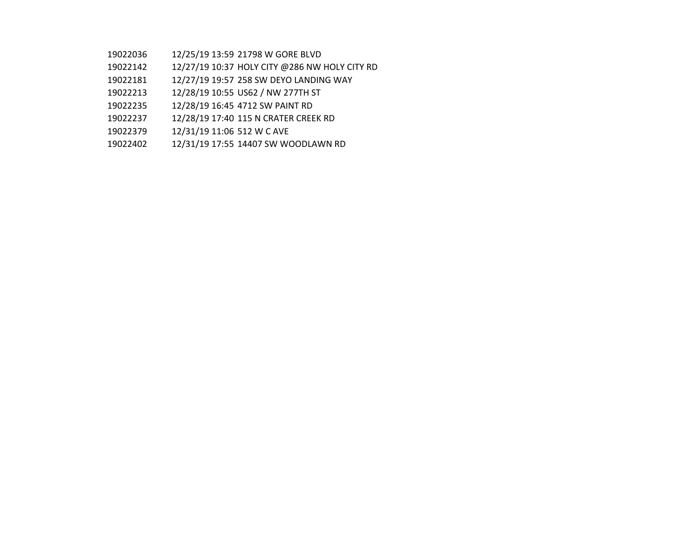- 12/25/19 13:59 21798 W GORE BLVD
- 12/27/19 10:37 HOLY CITY @286 NW HOLY CITY RD
- 12/27/19 19:57 258 SW DEYO LANDING WAY
- 12/28/19 10:55 US62 / NW 277TH ST
- 12/28/19 16:45 4712 SW PAINT RD
- 12/28/19 17:40 115 N CRATER CREEK RD
- 12/31/19 11:06 512 W C AVE
- 12/31/19 17:55 14407 SW WOODLAWN RD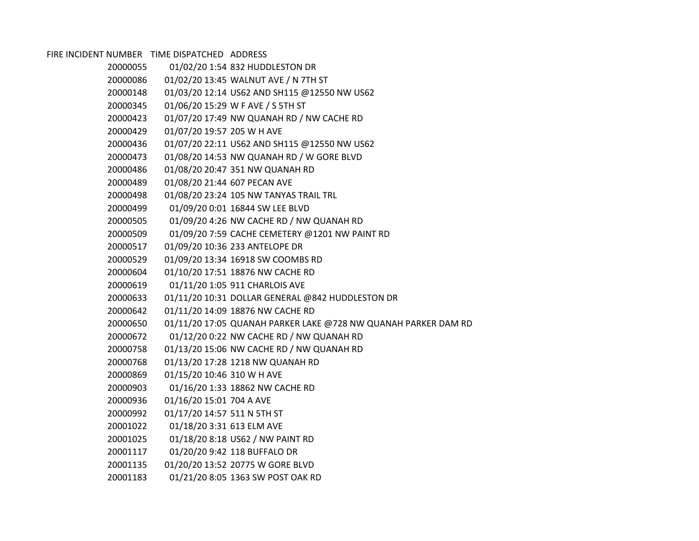FIRE INCIDENT NUMBER TIME DISPATCHED ADDRESS

| 20000055 |                              | 01/02/20 1:54 832 HUDDLESTON DR                                |
|----------|------------------------------|----------------------------------------------------------------|
| 20000086 |                              | 01/02/20 13:45 WALNUT AVE / N 7TH ST                           |
| 20000148 |                              | 01/03/20 12:14 US62 AND SH115 @12550 NW US62                   |
| 20000345 |                              | 01/06/20 15:29 W F AVE / S 5TH ST                              |
| 20000423 |                              | 01/07/20 17:49 NW QUANAH RD / NW CACHE RD                      |
| 20000429 | 01/07/20 19:57 205 W H AVE   |                                                                |
| 20000436 |                              | 01/07/20 22:11 US62 AND SH115 @12550 NW US62                   |
| 20000473 |                              | 01/08/20 14:53 NW QUANAH RD / W GORE BLVD                      |
| 20000486 |                              | 01/08/20 20:47 351 NW QUANAH RD                                |
| 20000489 | 01/08/20 21:44 607 PECAN AVE |                                                                |
| 20000498 |                              | 01/08/20 23:24 105 NW TANYAS TRAIL TRL                         |
| 20000499 |                              | 01/09/20 0:01 16844 SW LEE BLVD                                |
| 20000505 |                              | 01/09/20 4:26 NW CACHE RD / NW QUANAH RD                       |
| 20000509 |                              | 01/09/20 7:59 CACHE CEMETERY @1201 NW PAINT RD                 |
| 20000517 |                              | 01/09/20 10:36 233 ANTELOPE DR                                 |
| 20000529 |                              | 01/09/20 13:34 16918 SW COOMBS RD                              |
| 20000604 |                              | 01/10/20 17:51 18876 NW CACHE RD                               |
| 20000619 |                              | 01/11/20 1:05 911 CHARLOIS AVE                                 |
| 20000633 |                              | 01/11/20 10:31 DOLLAR GENERAL @842 HUDDLESTON DR               |
| 20000642 |                              | 01/11/20 14:09 18876 NW CACHE RD                               |
| 20000650 |                              | 01/11/20 17:05 QUANAH PARKER LAKE @728 NW QUANAH PARKER DAM RD |
| 20000672 |                              | 01/12/20 0:22 NW CACHE RD / NW QUANAH RD                       |
| 20000758 |                              | 01/13/20 15:06 NW CACHE RD / NW QUANAH RD                      |
| 20000768 |                              | 01/13/20 17:28 1218 NW QUANAH RD                               |
| 20000869 | 01/15/20 10:46 310 W H AVE   |                                                                |
| 20000903 |                              | 01/16/20 1:33 18862 NW CACHE RD                                |
| 20000936 | 01/16/20 15:01 704 A AVE     |                                                                |
| 20000992 | 01/17/20 14:57 511 N 5TH ST  |                                                                |
| 20001022 | 01/18/20 3:31 613 ELM AVE    |                                                                |
| 20001025 |                              | 01/18/20 8:18 US62 / NW PAINT RD                               |
| 20001117 |                              | 01/20/20 9:42 118 BUFFALO DR                                   |
| 20001135 |                              | 01/20/20 13:52 20775 W GORE BLVD                               |
| 20001183 |                              | 01/21/20 8:05 1363 SW POST OAK RD                              |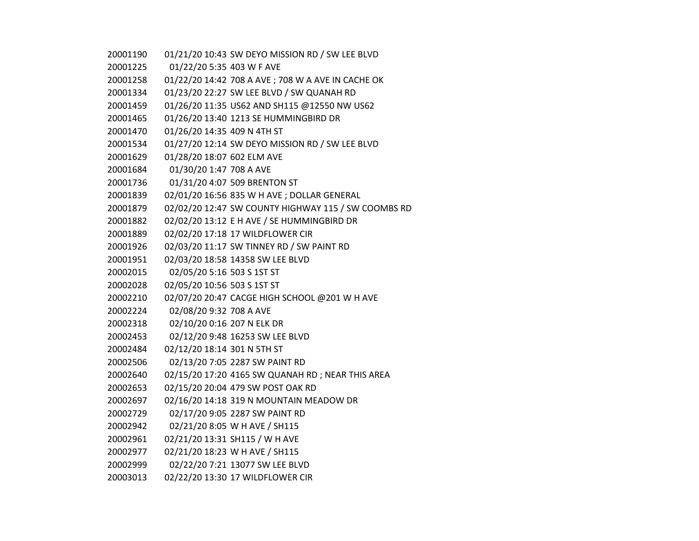| 20001190 | 01/21/20 10:43 SW DEYO MISSION RD / SW LEE BLVD     |  |
|----------|-----------------------------------------------------|--|
| 20001225 | 01/22/20 5:35 403 W F AVE                           |  |
| 20001258 | 01/22/20 14:42 708 A AVE ; 708 W A AVE IN CACHE OK  |  |
| 20001334 | 01/23/20 22:27 SW LEE BLVD / SW QUANAH RD           |  |
| 20001459 | 01/26/20 11:35 US62 AND SH115 @12550 NW US62        |  |
| 20001465 | 01/26/20 13:40 1213 SE HUMMINGBIRD DR               |  |
| 20001470 | 01/26/20 14:35 409 N 4TH ST                         |  |
| 20001534 | 01/27/20 12:14 SW DEYO MISSION RD / SW LEE BLVD     |  |
| 20001629 | 01/28/20 18:07 602 ELM AVE                          |  |
| 20001684 | 01/30/20 1:47 708 A AVE                             |  |
| 20001736 | 01/31/20 4:07 509 BRENTON ST                        |  |
| 20001839 | 02/01/20 16:56 835 W H AVE ; DOLLAR GENERAL         |  |
| 20001879 | 02/02/20 12:47 SW COUNTY HIGHWAY 115 / SW COOMBS RD |  |
| 20001882 | 02/02/20 13:12 E H AVE / SE HUMMINGBIRD DR          |  |
| 20001889 | 02/02/20 17:18 17 WILDFLOWER CIR                    |  |
| 20001926 | 02/03/20 11:17 SW TINNEY RD / SW PAINT RD           |  |
| 20001951 | 02/03/20 18:58 14358 SW LEE BLVD                    |  |
| 20002015 | 02/05/20 5:16 503 S 1ST ST                          |  |
| 20002028 | 02/05/20 10:56 503 S 1ST ST                         |  |
| 20002210 | 02/07/20 20:47 CACGE HIGH SCHOOL @201 W H AVE       |  |
| 20002224 | 02/08/20 9:32 708 A AVE                             |  |
| 20002318 | 02/10/20 0:16 207 N ELK DR                          |  |
| 20002453 | 02/12/20 9:48 16253 SW LEE BLVD                     |  |
| 20002484 | 02/12/20 18:14 301 N 5TH ST                         |  |
| 20002506 | 02/13/20 7:05 2287 SW PAINT RD                      |  |
| 20002640 | 02/15/20 17:20 4165 SW QUANAH RD; NEAR THIS AREA    |  |
| 20002653 | 02/15/20 20:04 479 SW POST OAK RD                   |  |
| 20002697 | 02/16/20 14:18 319 N MOUNTAIN MEADOW DR             |  |
| 20002729 | 02/17/20 9:05 2287 SW PAINT RD                      |  |
| 20002942 | 02/21/20 8:05 W H AVE / SH115                       |  |
| 20002961 | 02/21/20 13:31 SH115 / W H AVE                      |  |
| 20002977 | 02/21/20 18:23 W H AVE / SH115                      |  |
| 20002999 | 02/22/20 7:21 13077 SW LEE BLVD                     |  |
| 20003013 | 02/22/20 13:30 17 WILDFLOWER CIR                    |  |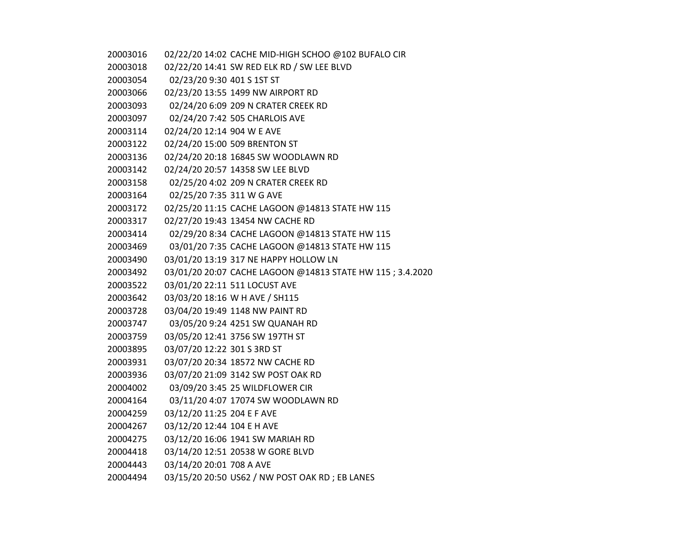02/22/20 14:02 CACHE MID-HIGH SCHOO @102 BUFALO CIR 02/22/20 14:41 SW RED ELK RD / SW LEE BLVD 02/23/20 9:30 401 S 1ST ST 02/23/20 13:55 1499 NW AIRPORT RD 02/24/20 6:09 209 N CRATER CREEK RD 02/24/20 7:42 505 CHARLOIS AVE 02/24/20 12:14 904 W E AVE 02/24/20 15:00 509 BRENTON ST 02/24/20 20:18 16845 SW WOODLAWN RD 02/24/20 20:57 14358 SW LEE BLVD 02/25/20 4:02 209 N CRATER CREEK RD 02/25/20 7:35 311 W G AVE 02/25/20 11:15 CACHE LAGOON @14813 STATE HW 115 02/27/20 19:43 13454 NW CACHE RD 02/29/20 8:34 CACHE LAGOON @14813 STATE HW 115 03/01/20 7:35 CACHE LAGOON @14813 STATE HW 115 03/01/20 13:19 317 NE HAPPY HOLLOW LN 03/01/20 20:07 CACHE LAGOON @14813 STATE HW 115 ; 3.4.2020 03/01/20 22:11 511 LOCUST AVE 03/03/20 18:16 W H AVE / SH115 03/04/20 19:49 1148 NW PAINT RD 03/05/20 9:24 4251 SW QUANAH RD 03/05/20 12:41 3756 SW 197TH ST 03/07/20 12:22 301 S 3RD ST 03/07/20 20:34 18572 NW CACHE RD 03/07/20 21:09 3142 SW POST OAK RD 03/09/20 3:45 25 WILDFLOWER CIR 03/11/20 4:07 17074 SW WOODLAWN RD 03/12/20 11:25 204 E F AVE 03/12/20 12:44 104 E H AVE 03/12/20 16:06 1941 SW MARIAH RD 03/14/20 12:51 20538 W GORE BLVD 03/14/20 20:01 708 A AVE 03/15/20 20:50 US62 / NW POST OAK RD ; EB LANES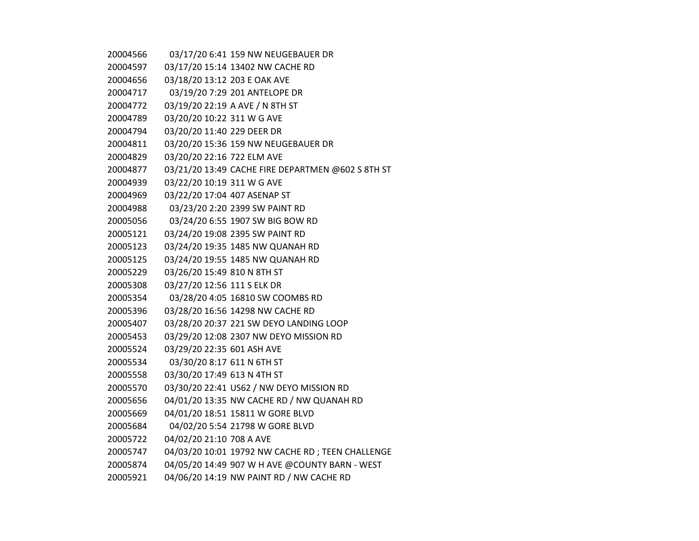| 20004566 |                              | 03/17/20 6:41 159 NW NEUGEBAUER DR                |
|----------|------------------------------|---------------------------------------------------|
| 20004597 |                              | 03/17/20 15:14 13402 NW CACHE RD                  |
| 20004656 | 03/18/20 13:12 203 E OAK AVE |                                                   |
| 20004717 |                              | 03/19/20 7:29 201 ANTELOPE DR                     |
| 20004772 |                              | 03/19/20 22:19 A AVE / N 8TH ST                   |
| 20004789 | 03/20/20 10:22 311 W G AVE   |                                                   |
| 20004794 | 03/20/20 11:40 229 DEER DR   |                                                   |
| 20004811 |                              | 03/20/20 15:36 159 NW NEUGEBAUER DR               |
| 20004829 | 03/20/20 22:16 722 ELM AVE   |                                                   |
| 20004877 |                              | 03/21/20 13:49 CACHE FIRE DEPARTMEN @602 S 8TH ST |
| 20004939 | 03/22/20 10:19 311 W G AVE   |                                                   |
| 20004969 | 03/22/20 17:04 407 ASENAP ST |                                                   |
| 20004988 |                              | 03/23/20 2:20 2399 SW PAINT RD                    |
| 20005056 |                              | 03/24/20 6:55 1907 SW BIG BOW RD                  |
| 20005121 |                              | 03/24/20 19:08 2395 SW PAINT RD                   |
| 20005123 |                              | 03/24/20 19:35 1485 NW QUANAH RD                  |
| 20005125 |                              | 03/24/20 19:55 1485 NW QUANAH RD                  |
| 20005229 | 03/26/20 15:49 810 N 8TH ST  |                                                   |
| 20005308 | 03/27/20 12:56 111 S ELK DR  |                                                   |
| 20005354 |                              | 03/28/20 4:05 16810 SW COOMBS RD                  |
| 20005396 |                              | 03/28/20 16:56 14298 NW CACHE RD                  |
| 20005407 |                              | 03/28/20 20:37 221 SW DEYO LANDING LOOP           |
| 20005453 |                              | 03/29/20 12:08 2307 NW DEYO MISSION RD            |
| 20005524 | 03/29/20 22:35 601 ASH AVE   |                                                   |
| 20005534 | 03/30/20 8:17 611 N 6TH ST   |                                                   |
| 20005558 | 03/30/20 17:49 613 N 4TH ST  |                                                   |
| 20005570 |                              | 03/30/20 22:41 US62 / NW DEYO MISSION RD          |
| 20005656 |                              | 04/01/20 13:35 NW CACHE RD / NW QUANAH RD         |
| 20005669 |                              | 04/01/20 18:51 15811 W GORE BLVD                  |
| 20005684 |                              | 04/02/20 5:54 21798 W GORE BLVD                   |
| 20005722 | 04/02/20 21:10 708 A AVE     |                                                   |
| 20005747 |                              | 04/03/20 10:01 19792 NW CACHE RD ; TEEN CHALLENGE |
| 20005874 |                              | 04/05/20 14:49 907 W H AVE @COUNTY BARN - WEST    |
| 20005921 |                              | 04/06/20 14:19 NW PAINT RD / NW CACHE RD          |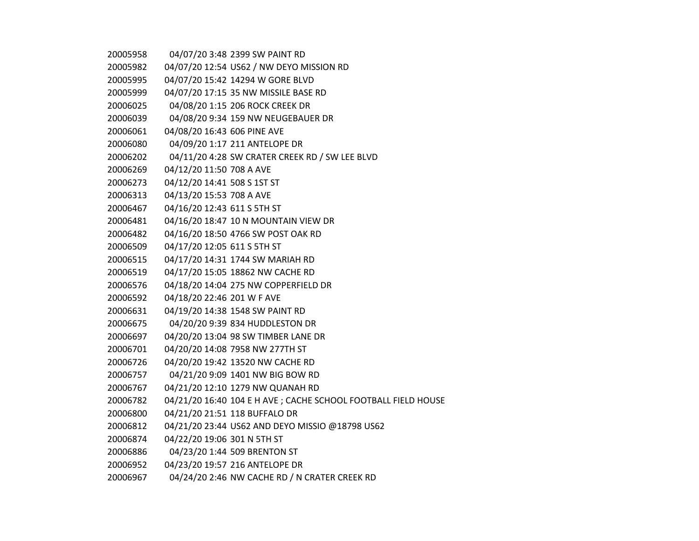| 20005958 |                             | 04/07/20 3:48 2399 SW PAINT RD                                 |
|----------|-----------------------------|----------------------------------------------------------------|
| 20005982 |                             | 04/07/20 12:54 US62 / NW DEYO MISSION RD                       |
| 20005995 |                             | 04/07/20 15:42 14294 W GORE BLVD                               |
| 20005999 |                             | 04/07/20 17:15 35 NW MISSILE BASE RD                           |
| 20006025 |                             | 04/08/20 1:15 206 ROCK CREEK DR                                |
| 20006039 |                             | 04/08/20 9:34 159 NW NEUGEBAUER DR                             |
| 20006061 | 04/08/20 16:43 606 PINE AVE |                                                                |
| 20006080 |                             | 04/09/20 1:17 211 ANTELOPE DR                                  |
| 20006202 |                             | 04/11/20 4:28 SW CRATER CREEK RD / SW LEE BLVD                 |
| 20006269 | 04/12/20 11:50 708 A AVE    |                                                                |
| 20006273 | 04/12/20 14:41 508 S 1ST ST |                                                                |
| 20006313 | 04/13/20 15:53 708 A AVE    |                                                                |
| 20006467 | 04/16/20 12:43 611 S 5TH ST |                                                                |
| 20006481 |                             | 04/16/20 18:47 10 N MOUNTAIN VIEW DR                           |
| 20006482 |                             | 04/16/20 18:50 4766 SW POST OAK RD                             |
| 20006509 | 04/17/20 12:05 611 S 5TH ST |                                                                |
| 20006515 |                             | 04/17/20 14:31 1744 SW MARIAH RD                               |
| 20006519 |                             | 04/17/20 15:05 18862 NW CACHE RD                               |
| 20006576 |                             | 04/18/20 14:04 275 NW COPPERFIELD DR                           |
| 20006592 | 04/18/20 22:46 201 W F AVE  |                                                                |
| 20006631 |                             | 04/19/20 14:38 1548 SW PAINT RD                                |
| 20006675 |                             | 04/20/20 9:39 834 HUDDLESTON DR                                |
| 20006697 |                             | 04/20/20 13:04 98 SW TIMBER LANE DR                            |
| 20006701 |                             | 04/20/20 14:08 7958 NW 277TH ST                                |
| 20006726 |                             | 04/20/20 19:42 13520 NW CACHE RD                               |
| 20006757 |                             | 04/21/20 9:09 1401 NW BIG BOW RD                               |
| 20006767 |                             | 04/21/20 12:10 1279 NW QUANAH RD                               |
| 20006782 |                             | 04/21/20 16:40 104 E H AVE ; CACHE SCHOOL FOOTBALL FIELD HOUSE |
| 20006800 |                             | 04/21/20 21:51 118 BUFFALO DR                                  |
| 20006812 |                             | 04/21/20 23:44 US62 AND DEYO MISSIO @18798 US62                |
| 20006874 | 04/22/20 19:06 301 N 5TH ST |                                                                |
| 20006886 |                             | 04/23/20 1:44 509 BRENTON ST                                   |
| 20006952 |                             | 04/23/20 19:57 216 ANTELOPE DR                                 |
| 20006967 |                             | 04/24/20 2:46 NW CACHE RD / N CRATER CREEK RD                  |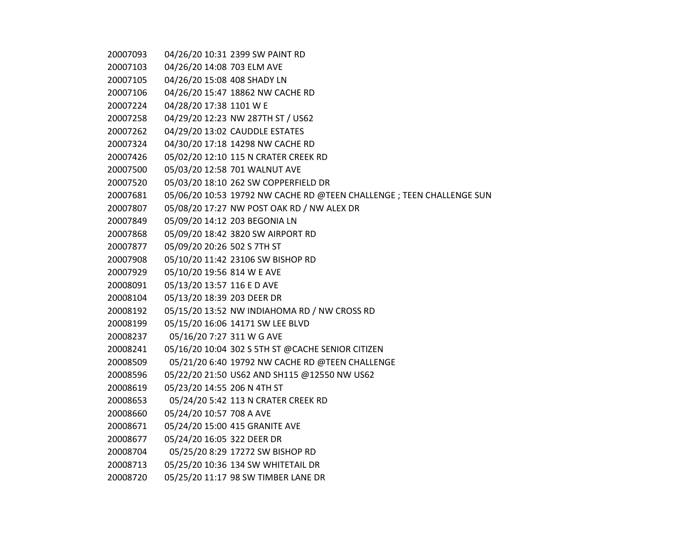04/26/20 10:31 2399 SW PAINT RD 04/26/20 14:08 703 ELM AVE 04/26/20 15:08 408 SHADY LN 04/26/20 15:47 18862 NW CACHE RD 04/28/20 17:38 1101 W E 04/29/20 12:23 NW 287TH ST / US62 04/29/20 13:02 CAUDDLE ESTATES 04/30/20 17:18 14298 NW CACHE RD 05/02/20 12:10 115 N CRATER CREEK RD 05/03/20 12:58 701 WALNUT AVE 05/03/20 18:10 262 SW COPPERFIELD DR 05/06/20 10:53 19792 NW CACHE RD @TEEN CHALLENGE ; TEEN CHALLENGE SUN 05/08/20 17:27 NW POST OAK RD / NW ALEX DR 05/09/20 14:12 203 BEGONIA LN 05/09/20 18:42 3820 SW AIRPORT RD 05/09/20 20:26 502 S 7TH ST 05/10/20 11:42 23106 SW BISHOP RD 05/10/20 19:56 814 W E AVE 05/13/20 13:57 116 E D AVE 05/13/20 18:39 203 DEER DR 05/15/20 13:52 NW INDIAHOMA RD / NW CROSS RD 05/15/20 16:06 14171 SW LEE BLVD 05/16/20 7:27 311 W G AVE 05/16/20 10:04 302 S 5TH ST @CACHE SENIOR CITIZEN 05/21/20 6:40 19792 NW CACHE RD @TEEN CHALLENGE 05/22/20 21:50 US62 AND SH115 @12550 NW US62 05/23/20 14:55 206 N 4TH ST 05/24/20 5:42 113 N CRATER CREEK RD 05/24/20 10:57 708 A AVE 05/24/20 15:00 415 GRANITE AVE 05/24/20 16:05 322 DEER DR 05/25/20 8:29 17272 SW BISHOP RD 05/25/20 10:36 134 SW WHITETAIL DR 05/25/20 11:17 98 SW TIMBER LANE DR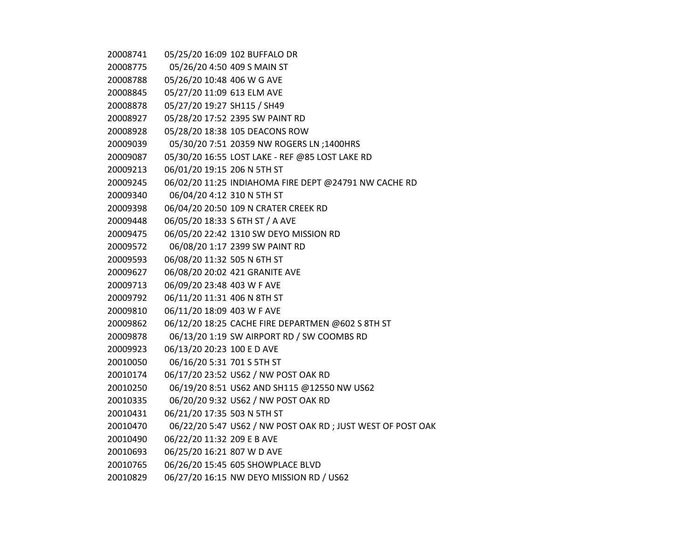| 20008741 | 05/25/20 16:09 102 BUFFALO DR   |                                                            |
|----------|---------------------------------|------------------------------------------------------------|
| 20008775 | 05/26/20 4:50 409 S MAIN ST     |                                                            |
| 20008788 | 05/26/20 10:48 406 W G AVE      |                                                            |
| 20008845 | 05/27/20 11:09 613 ELM AVE      |                                                            |
| 20008878 | 05/27/20 19:27 SH115 / SH49     |                                                            |
| 20008927 | 05/28/20 17:52 2395 SW PAINT RD |                                                            |
| 20008928 | 05/28/20 18:38 105 DEACONS ROW  |                                                            |
| 20009039 |                                 | 05/30/20 7:51 20359 NW ROGERS LN ;1400HRS                  |
| 20009087 |                                 | 05/30/20 16:55 LOST LAKE - REF @85 LOST LAKE RD            |
| 20009213 | 06/01/20 19:15 206 N 5TH ST     |                                                            |
| 20009245 |                                 | 06/02/20 11:25 INDIAHOMA FIRE DEPT @24791 NW CACHE RD      |
| 20009340 | 06/04/20 4:12 310 N 5TH ST      |                                                            |
| 20009398 |                                 | 06/04/20 20:50 109 N CRATER CREEK RD                       |
| 20009448 | 06/05/20 18:33 S 6TH ST / A AVE |                                                            |
| 20009475 |                                 | 06/05/20 22:42 1310 SW DEYO MISSION RD                     |
| 20009572 | 06/08/20 1:17 2399 SW PAINT RD  |                                                            |
| 20009593 | 06/08/20 11:32 505 N 6TH ST     |                                                            |
| 20009627 | 06/08/20 20:02 421 GRANITE AVE  |                                                            |
| 20009713 | 06/09/20 23:48 403 W F AVE      |                                                            |
| 20009792 | 06/11/20 11:31 406 N 8TH ST     |                                                            |
| 20009810 | 06/11/20 18:09 403 W F AVE      |                                                            |
| 20009862 |                                 | 06/12/20 18:25 CACHE FIRE DEPARTMEN @602 S 8TH ST          |
| 20009878 |                                 | 06/13/20 1:19 SW AIRPORT RD / SW COOMBS RD                 |
| 20009923 | 06/13/20 20:23 100 E D AVE      |                                                            |
| 20010050 | 06/16/20 5:31 701 S 5TH ST      |                                                            |
| 20010174 |                                 | 06/17/20 23:52 US62 / NW POST OAK RD                       |
| 20010250 |                                 | 06/19/20 8:51 US62 AND SH115 @12550 NW US62                |
| 20010335 |                                 | 06/20/20 9:32 US62 / NW POST OAK RD                        |
| 20010431 | 06/21/20 17:35 503 N 5TH ST     |                                                            |
| 20010470 |                                 | 06/22/20 5:47 US62 / NW POST OAK RD; JUST WEST OF POST OAK |
| 20010490 | 06/22/20 11:32 209 E B AVE      |                                                            |
| 20010693 | 06/25/20 16:21 807 W D AVE      |                                                            |
| 20010765 |                                 | 06/26/20 15:45 605 SHOWPLACE BLVD                          |
| 20010829 |                                 | 06/27/20 16:15 NW DEYO MISSION RD / US62                   |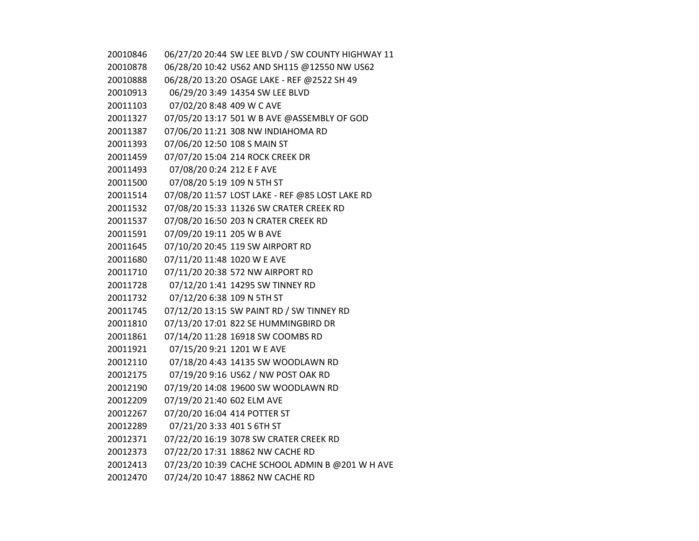| 20010846 |                              | 06/27/20 20:44 SW LEE BLVD / SW COUNTY HIGHWAY 11 |
|----------|------------------------------|---------------------------------------------------|
| 20010878 |                              | 06/28/20 10:42 US62 AND SH115 @12550 NW US62      |
| 20010888 |                              | 06/28/20 13:20 OSAGE LAKE - REF @2522 SH 49       |
| 20010913 |                              | 06/29/20 3:49 14354 SW LEE BLVD                   |
| 20011103 | 07/02/20 8:48 409 W C AVE    |                                                   |
| 20011327 |                              | 07/05/20 13:17 501 W B AVE @ASSEMBLY OF GOD       |
| 20011387 |                              | 07/06/20 11:21 308 NW INDIAHOMA RD                |
| 20011393 | 07/06/20 12:50 108 S MAIN ST |                                                   |
| 20011459 |                              | 07/07/20 15:04 214 ROCK CREEK DR                  |
| 20011493 | 07/08/20 0:24 212 E F AVE    |                                                   |
| 20011500 | 07/08/20 5:19 109 N 5TH ST   |                                                   |
| 20011514 |                              | 07/08/20 11:57 LOST LAKE - REF @85 LOST LAKE RD   |
| 20011532 |                              | 07/08/20 15:33 11326 SW CRATER CREEK RD           |
| 20011537 |                              | 07/08/20 16:50 203 N CRATER CREEK RD              |
| 20011591 | 07/09/20 19:11 205 W B AVE   |                                                   |
| 20011645 |                              | 07/10/20 20:45 119 SW AIRPORT RD                  |
| 20011680 | 07/11/20 11:48 1020 W E AVE  |                                                   |
| 20011710 |                              | 07/11/20 20:38 572 NW AIRPORT RD                  |
| 20011728 |                              | 07/12/20 1:41 14295 SW TINNEY RD                  |
| 20011732 | 07/12/20 6:38 109 N 5TH ST   |                                                   |
| 20011745 |                              | 07/12/20 13:15 SW PAINT RD / SW TINNEY RD         |
| 20011810 |                              | 07/13/20 17:01 822 SE HUMMINGBIRD DR              |
| 20011861 |                              | 07/14/20 11:28 16918 SW COOMBS RD                 |
| 20011921 | 07/15/20 9:21 1201 W E AVE   |                                                   |
| 20012110 |                              | 07/18/20 4:43 14135 SW WOODLAWN RD                |
| 20012175 |                              | 07/19/20 9:16 US62 / NW POST OAK RD               |
| 20012190 |                              | 07/19/20 14:08 19600 SW WOODLAWN RD               |
| 20012209 | 07/19/20 21:40 602 ELM AVE   |                                                   |
| 20012267 | 07/20/20 16:04 414 POTTER ST |                                                   |
| 20012289 | 07/21/20 3:33 401 S 6TH ST   |                                                   |
| 20012371 |                              | 07/22/20 16:19 3078 SW CRATER CREEK RD            |
| 20012373 |                              | 07/22/20 17:31 18862 NW CACHE RD                  |
| 20012413 |                              | 07/23/20 10:39 CACHE SCHOOL ADMIN B @201 W H AVE  |
| 20012470 |                              | 07/24/20 10:47 18862 NW CACHE RD                  |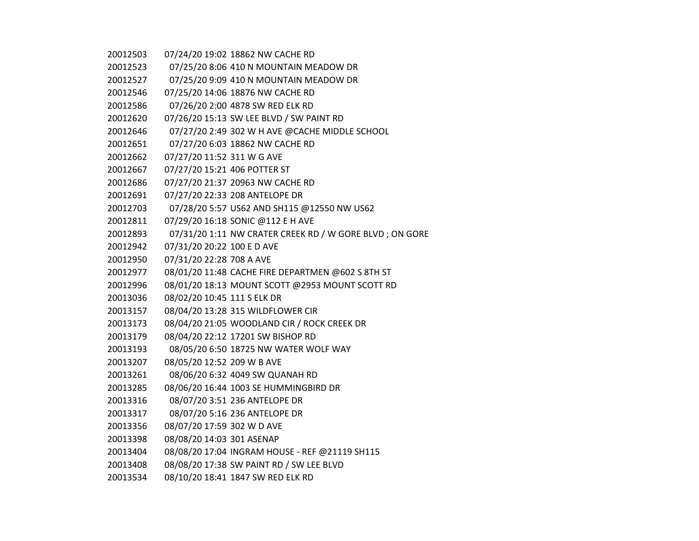| 20012503 |                              | 07/24/20 19:02 18862 NW CACHE RD                        |
|----------|------------------------------|---------------------------------------------------------|
| 20012523 |                              | 07/25/20 8:06 410 N MOUNTAIN MEADOW DR                  |
| 20012527 |                              | 07/25/20 9:09 410 N MOUNTAIN MEADOW DR                  |
| 20012546 |                              | 07/25/20 14:06 18876 NW CACHE RD                        |
| 20012586 |                              | 07/26/20 2:00 4878 SW RED ELK RD                        |
| 20012620 |                              | 07/26/20 15:13 SW LEE BLVD / SW PAINT RD                |
| 20012646 |                              | 07/27/20 2:49 302 W H AVE @CACHE MIDDLE SCHOOL          |
| 20012651 |                              | 07/27/20 6:03 18862 NW CACHE RD                         |
| 20012662 | 07/27/20 11:52 311 W G AVE   |                                                         |
| 20012667 | 07/27/20 15:21 406 POTTER ST |                                                         |
| 20012686 |                              | 07/27/20 21:37 20963 NW CACHE RD                        |
| 20012691 |                              | 07/27/20 22:33 208 ANTELOPE DR                          |
| 20012703 |                              | 07/28/20 5:57 US62 AND SH115 @12550 NW US62             |
| 20012811 |                              | 07/29/20 16:18 SONIC @112 E H AVE                       |
| 20012893 |                              | 07/31/20 1:11 NW CRATER CREEK RD / W GORE BLVD; ON GORE |
| 20012942 | 07/31/20 20:22 100 E D AVE   |                                                         |
| 20012950 | 07/31/20 22:28 708 A AVE     |                                                         |
| 20012977 |                              | 08/01/20 11:48 CACHE FIRE DEPARTMEN @602 S 8TH ST       |
| 20012996 |                              | 08/01/20 18:13 MOUNT SCOTT @2953 MOUNT SCOTT RD         |
| 20013036 | 08/02/20 10:45 111 S ELK DR  |                                                         |
| 20013157 |                              | 08/04/20 13:28 315 WILDFLOWER CIR                       |
| 20013173 |                              | 08/04/20 21:05 WOODLAND CIR / ROCK CREEK DR             |
| 20013179 |                              | 08/04/20 22:12 17201 SW BISHOP RD                       |
| 20013193 |                              | 08/05/20 6:50 18725 NW WATER WOLF WAY                   |
| 20013207 | 08/05/20 12:52 209 W B AVE   |                                                         |
| 20013261 |                              | 08/06/20 6:32 4049 SW QUANAH RD                         |
| 20013285 |                              | 08/06/20 16:44 1003 SE HUMMINGBIRD DR                   |
| 20013316 |                              | 08/07/20 3:51 236 ANTELOPE DR                           |
| 20013317 |                              | 08/07/20 5:16 236 ANTELOPE DR                           |
| 20013356 | 08/07/20 17:59 302 W D AVE   |                                                         |
| 20013398 | 08/08/20 14:03 301 ASENAP    |                                                         |
| 20013404 |                              | 08/08/20 17:04 INGRAM HOUSE - REF @21119 SH115          |
| 20013408 |                              | 08/08/20 17:38 SW PAINT RD / SW LEE BLVD                |
| 20013534 |                              | 08/10/20 18:41 1847 SW RED ELK RD                       |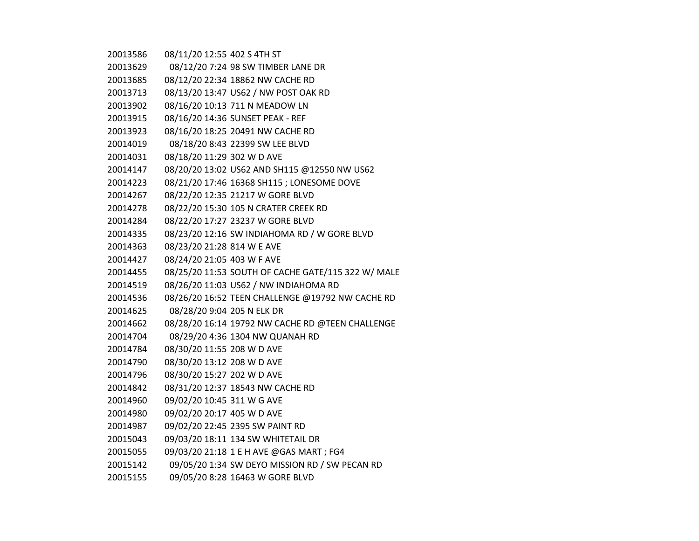| 20013586 | 08/11/20 12:55 402 S 4TH ST     |                                                    |
|----------|---------------------------------|----------------------------------------------------|
| 20013629 |                                 | 08/12/20 7:24 98 SW TIMBER LANE DR                 |
| 20013685 |                                 | 08/12/20 22:34 18862 NW CACHE RD                   |
| 20013713 |                                 | 08/13/20 13:47 US62 / NW POST OAK RD               |
| 20013902 |                                 | 08/16/20 10:13 711 N MEADOW LN                     |
| 20013915 |                                 | 08/16/20 14:36 SUNSET PEAK - REF                   |
| 20013923 |                                 | 08/16/20 18:25 20491 NW CACHE RD                   |
| 20014019 |                                 | 08/18/20 8:43 22399 SW LEE BLVD                    |
| 20014031 | 08/18/20 11:29 302 W D AVE      |                                                    |
| 20014147 |                                 | 08/20/20 13:02 US62 AND SH115 @12550 NW US62       |
| 20014223 |                                 | 08/21/20 17:46 16368 SH115 ; LONESOME DOVE         |
| 20014267 |                                 | 08/22/20 12:35 21217 W GORE BLVD                   |
| 20014278 |                                 | 08/22/20 15:30 105 N CRATER CREEK RD               |
| 20014284 |                                 | 08/22/20 17:27 23237 W GORE BLVD                   |
| 20014335 |                                 | 08/23/20 12:16 SW INDIAHOMA RD / W GORE BLVD       |
| 20014363 | 08/23/20 21:28 814 W E AVE      |                                                    |
| 20014427 | 08/24/20 21:05 403 W F AVE      |                                                    |
| 20014455 |                                 | 08/25/20 11:53 SOUTH OF CACHE GATE/115 322 W/ MALE |
| 20014519 |                                 | 08/26/20 11:03 US62 / NW INDIAHOMA RD              |
| 20014536 |                                 | 08/26/20 16:52 TEEN CHALLENGE @19792 NW CACHE RD   |
| 20014625 | 08/28/20 9:04 205 N ELK DR      |                                                    |
| 20014662 |                                 | 08/28/20 16:14 19792 NW CACHE RD @TEEN CHALLENGE   |
| 20014704 |                                 | 08/29/20 4:36 1304 NW QUANAH RD                    |
| 20014784 | 08/30/20 11:55 208 W D AVE      |                                                    |
| 20014790 | 08/30/20 13:12 208 W D AVE      |                                                    |
| 20014796 | 08/30/20 15:27 202 W D AVE      |                                                    |
| 20014842 |                                 | 08/31/20 12:37 18543 NW CACHE RD                   |
| 20014960 | 09/02/20 10:45 311 W G AVE      |                                                    |
| 20014980 | 09/02/20 20:17 405 W D AVE      |                                                    |
| 20014987 | 09/02/20 22:45 2395 SW PAINT RD |                                                    |
| 20015043 |                                 | 09/03/20 18:11 134 SW WHITETAIL DR                 |
| 20015055 |                                 | 09/03/20 21:18 1 E H AVE @GAS MART ; FG4           |
| 20015142 |                                 | 09/05/20 1:34 SW DEYO MISSION RD / SW PECAN RD     |
| 20015155 |                                 | 09/05/20 8:28 16463 W GORE BLVD                    |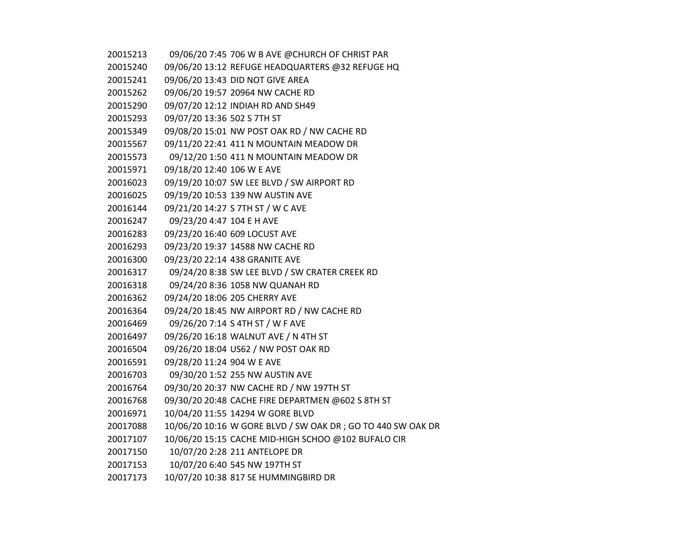| 20015213 | 09/06/20 7:45 706 W B AVE @CHURCH OF CHRIST PAR             |
|----------|-------------------------------------------------------------|
| 20015240 | 09/06/20 13:12 REFUGE HEADQUARTERS @32 REFUGE HQ            |
| 20015241 | 09/06/20 13:43 DID NOT GIVE AREA                            |
| 20015262 | 09/06/20 19:57 20964 NW CACHE RD                            |
| 20015290 | 09/07/20 12:12 INDIAH RD AND SH49                           |
| 20015293 | 09/07/20 13:36 502 S 7TH ST                                 |
| 20015349 | 09/08/20 15:01 NW POST OAK RD / NW CACHE RD                 |
| 20015567 | 09/11/20 22:41 411 N MOUNTAIN MEADOW DR                     |
| 20015573 | 09/12/20 1:50 411 N MOUNTAIN MEADOW DR                      |
| 20015971 | 09/18/20 12:40 106 W E AVE                                  |
| 20016023 | 09/19/20 10:07 SW LEE BLVD / SW AIRPORT RD                  |
| 20016025 | 09/19/20 10:53 139 NW AUSTIN AVE                            |
| 20016144 | 09/21/20 14:27 S 7TH ST / W C AVE                           |
| 20016247 | 09/23/20 4:47 104 E H AVE                                   |
| 20016283 | 09/23/20 16:40 609 LOCUST AVE                               |
| 20016293 | 09/23/20 19:37 14588 NW CACHE RD                            |
| 20016300 | 09/23/20 22:14 438 GRANITE AVE                              |
| 20016317 | 09/24/20 8:38 SW LEE BLVD / SW CRATER CREEK RD              |
| 20016318 | 09/24/20 8:36 1058 NW QUANAH RD                             |
| 20016362 | 09/24/20 18:06 205 CHERRY AVE                               |
| 20016364 | 09/24/20 18:45 NW AIRPORT RD / NW CACHE RD                  |
| 20016469 | 09/26/20 7:14 S 4TH ST / W F AVE                            |
| 20016497 | 09/26/20 16:18 WALNUT AVE / N 4TH ST                        |
| 20016504 | 09/26/20 18:04 US62 / NW POST OAK RD                        |
| 20016591 | 09/28/20 11:24 904 W E AVE                                  |
| 20016703 | 09/30/20 1:52 255 NW AUSTIN AVE                             |
| 20016764 | 09/30/20 20:37 NW CACHE RD / NW 197TH ST                    |
| 20016768 | 09/30/20 20:48 CACHE FIRE DEPARTMEN @602 S 8TH ST           |
| 20016971 | 10/04/20 11:55 14294 W GORE BLVD                            |
| 20017088 | 10/06/20 10:16 W GORE BLVD / SW OAK DR; GO TO 440 SW OAK DR |
| 20017107 | 10/06/20 15:15 CACHE MID-HIGH SCHOO @102 BUFALO CIR         |
| 20017150 | 10/07/20 2:28 211 ANTELOPE DR                               |
| 20017153 | 10/07/20 6:40 545 NW 197TH ST                               |
| 20017173 | 10/07/20 10:38 817 SE HUMMINGBIRD DR                        |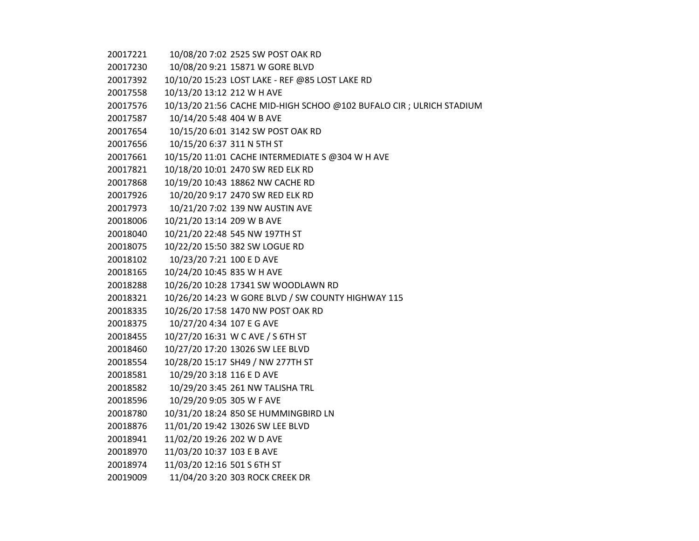10/08/20 7:02 2525 SW POST OAK RD

10/08/20 9:21 15871 W GORE BLVD

10/10/20 15:23 LOST LAKE - REF @85 LOST LAKE RD

10/13/20 13:12 212 W H AVE

10/13/20 21:56 CACHE MID-HIGH SCHOO @102 BUFALO CIR ; ULRICH STADIUM

10/14/20 5:48 404 W B AVE

10/15/20 6:01 3142 SW POST OAK RD

10/15/20 6:37 311 N 5TH ST

10/15/20 11:01 CACHE INTERMEDIATE S @304 W H AVE

10/18/20 10:01 2470 SW RED ELK RD

10/19/20 10:43 18862 NW CACHE RD

10/20/20 9:17 2470 SW RED ELK RD

10/21/20 7:02 139 NW AUSTIN AVE

10/21/20 13:14 209 W B AVE

10/21/20 22:48 545 NW 197TH ST

10/22/20 15:50 382 SW LOGUE RD

10/23/20 7:21 100 E D AVE

10/24/20 10:45 835 W H AVE

10/26/20 10:28 17341 SW WOODLAWN RD

10/26/20 14:23 W GORE BLVD / SW COUNTY HIGHWAY 115

10/26/20 17:58 1470 NW POST OAK RD

10/27/20 4:34 107 E G AVE

10/27/20 16:31 W C AVE / S 6TH ST

10/27/20 17:20 13026 SW LEE BLVD

10/28/20 15:17 SH49 / NW 277TH ST

10/29/20 3:18 116 E D AVE

10/29/20 3:45 261 NW TALISHA TRL

10/29/20 9:05 305 W F AVE

10/31/20 18:24 850 SE HUMMINGBIRD LN

11/01/20 19:42 13026 SW LEE BLVD

11/02/20 19:26 202 W D AVE

11/03/20 10:37 103 E B AVE

11/03/20 12:16 501 S 6TH ST

11/04/20 3:20 303 ROCK CREEK DR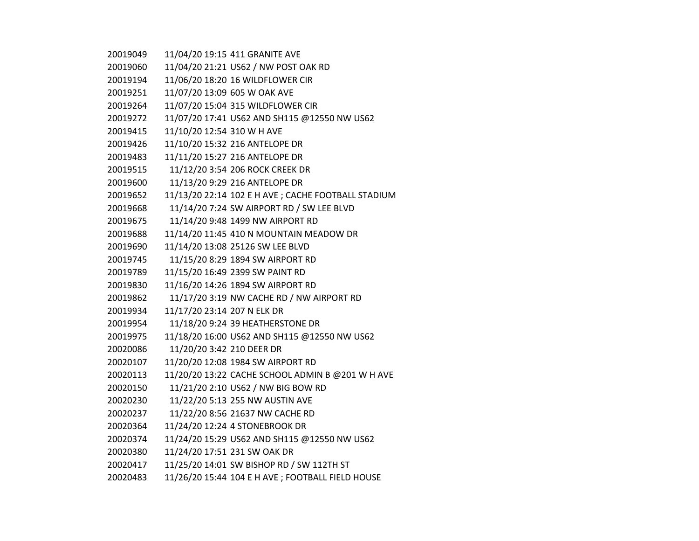| 20019049 |                             | 11/04/20 19:15 411 GRANITE AVE                      |
|----------|-----------------------------|-----------------------------------------------------|
| 20019060 |                             | 11/04/20 21:21 US62 / NW POST OAK RD                |
| 20019194 |                             | 11/06/20 18:20 16 WILDFLOWER CIR                    |
| 20019251 |                             | 11/07/20 13:09 605 W OAK AVE                        |
| 20019264 |                             | 11/07/20 15:04 315 WILDFLOWER CIR                   |
| 20019272 |                             | 11/07/20 17:41 US62 AND SH115 @12550 NW US62        |
| 20019415 | 11/10/20 12:54 310 W H AVE  |                                                     |
| 20019426 |                             | 11/10/20 15:32 216 ANTELOPE DR                      |
| 20019483 |                             | 11/11/20 15:27 216 ANTELOPE DR                      |
| 20019515 |                             | 11/12/20 3:54 206 ROCK CREEK DR                     |
| 20019600 |                             | 11/13/20 9:29 216 ANTELOPE DR                       |
| 20019652 |                             | 11/13/20 22:14 102 E H AVE ; CACHE FOOTBALL STADIUM |
| 20019668 |                             | 11/14/20 7:24 SW AIRPORT RD / SW LEE BLVD           |
| 20019675 |                             | 11/14/20 9:48 1499 NW AIRPORT RD                    |
| 20019688 |                             | 11/14/20 11:45 410 N MOUNTAIN MEADOW DR             |
| 20019690 |                             | 11/14/20 13:08 25126 SW LEE BLVD                    |
| 20019745 |                             | 11/15/20 8:29 1894 SW AIRPORT RD                    |
| 20019789 |                             | 11/15/20 16:49 2399 SW PAINT RD                     |
| 20019830 |                             | 11/16/20 14:26 1894 SW AIRPORT RD                   |
| 20019862 |                             | 11/17/20 3:19 NW CACHE RD / NW AIRPORT RD           |
| 20019934 | 11/17/20 23:14 207 N ELK DR |                                                     |
| 20019954 |                             | 11/18/20 9:24 39 HEATHERSTONE DR                    |
| 20019975 |                             | 11/18/20 16:00 US62 AND SH115 @12550 NW US62        |
| 20020086 | 11/20/20 3:42 210 DEER DR   |                                                     |
| 20020107 |                             | 11/20/20 12:08 1984 SW AIRPORT RD                   |
| 20020113 |                             | 11/20/20 13:22 CACHE SCHOOL ADMIN B @201 W H AVE    |
| 20020150 |                             | 11/21/20 2:10 US62 / NW BIG BOW RD                  |
| 20020230 |                             | 11/22/20 5:13 255 NW AUSTIN AVE                     |
| 20020237 |                             | 11/22/20 8:56 21637 NW CACHE RD                     |
| 20020364 |                             | 11/24/20 12:24 4 STONEBROOK DR                      |
| 20020374 |                             | 11/24/20 15:29 US62 AND SH115 @12550 NW US62        |
| 20020380 |                             | 11/24/20 17:51 231 SW OAK DR                        |
| 20020417 |                             | 11/25/20 14:01 SW BISHOP RD / SW 112TH ST           |
| 20020483 |                             | 11/26/20 15:44 104 E H AVE ; FOOTBALL FIELD HOUSE   |